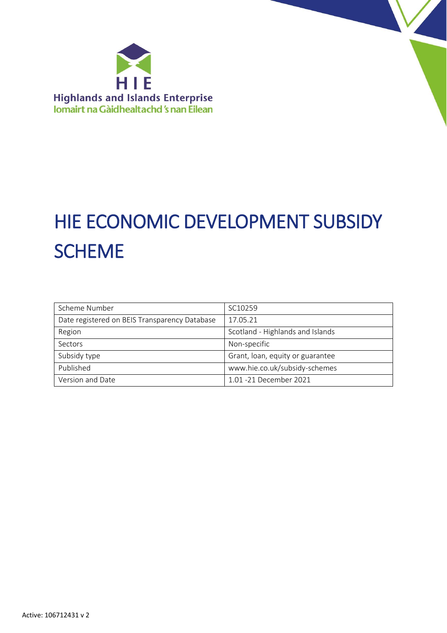

# HIE ECONOMIC DEVELOPMENT SUBSIDY **SCHEME**

| Scheme Number                                 | SC10259                          |
|-----------------------------------------------|----------------------------------|
| Date registered on BEIS Transparency Database | 17.05.21                         |
| Region                                        | Scotland - Highlands and Islands |
| Sectors                                       | Non-specific                     |
| Subsidy type                                  | Grant, loan, equity or guarantee |
| Published                                     | www.hie.co.uk/subsidy-schemes    |
| Version and Date                              | 1.01 -21 December 2021           |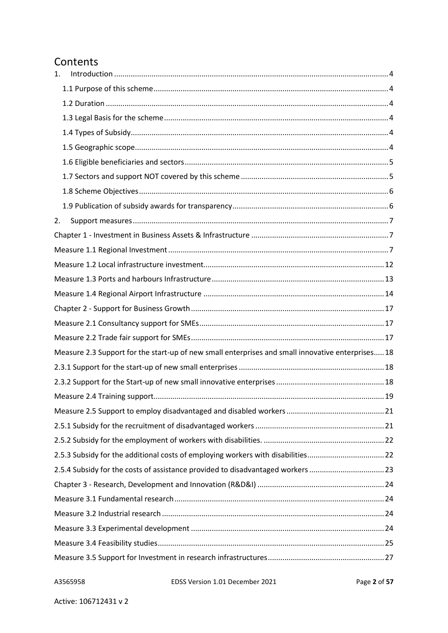# **Contents**

| 1. |                                                                                                   |  |
|----|---------------------------------------------------------------------------------------------------|--|
|    |                                                                                                   |  |
|    |                                                                                                   |  |
|    |                                                                                                   |  |
|    |                                                                                                   |  |
|    |                                                                                                   |  |
|    |                                                                                                   |  |
|    |                                                                                                   |  |
|    |                                                                                                   |  |
|    |                                                                                                   |  |
| 2. |                                                                                                   |  |
|    |                                                                                                   |  |
|    |                                                                                                   |  |
|    |                                                                                                   |  |
|    |                                                                                                   |  |
|    |                                                                                                   |  |
|    |                                                                                                   |  |
|    |                                                                                                   |  |
|    |                                                                                                   |  |
|    | Measure 2.3 Support for the start-up of new small enterprises and small innovative enterprises 18 |  |
|    |                                                                                                   |  |
|    |                                                                                                   |  |
|    |                                                                                                   |  |
|    |                                                                                                   |  |
|    |                                                                                                   |  |
|    |                                                                                                   |  |
|    | 2.5.3 Subsidy for the additional costs of employing workers with disabilities22                   |  |
|    | 2.5.4 Subsidy for the costs of assistance provided to disadvantaged workers 23                    |  |
|    |                                                                                                   |  |
|    |                                                                                                   |  |
|    |                                                                                                   |  |
|    |                                                                                                   |  |
|    |                                                                                                   |  |
|    |                                                                                                   |  |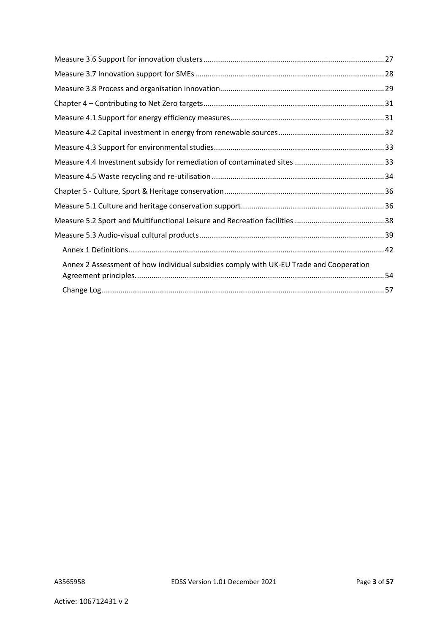| Annex 2 Assessment of how individual subsidies comply with UK-EU Trade and Cooperation |  |
|----------------------------------------------------------------------------------------|--|
|                                                                                        |  |
|                                                                                        |  |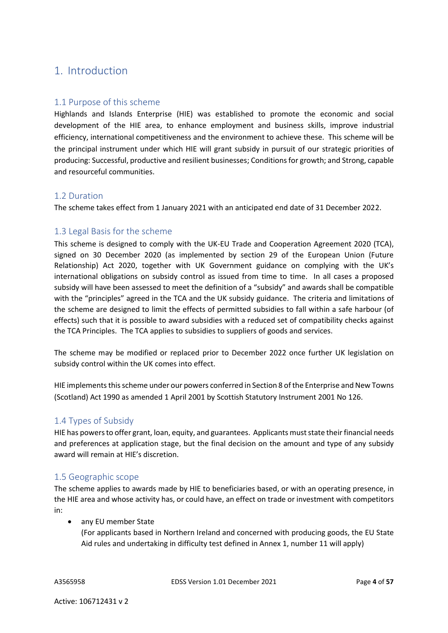# <span id="page-3-0"></span>1. Introduction

## <span id="page-3-1"></span>1.1 Purpose of this scheme

Highlands and Islands Enterprise (HIE) was established to promote the economic and social development of the HIE area, to enhance employment and business skills, improve industrial efficiency, international competitiveness and the environment to achieve these. This scheme will be the principal instrument under which HIE will grant subsidy in pursuit of our strategic priorities of producing: Successful, productive and resilient businesses; Conditions for growth; and Strong, capable and resourceful communities.

## <span id="page-3-2"></span>1.2 Duration

The scheme takes effect from 1 January 2021 with an anticipated end date of 31 December 2022.

## <span id="page-3-3"></span>1.3 Legal Basis for the scheme

This scheme is designed to comply with the UK-EU Trade and Cooperation Agreement 2020 (TCA), signed on 30 December 2020 (as implemented by section 29 of the European Union (Future Relationship) Act 2020, together with UK Government guidance on complying with the UK's international obligations on subsidy control as issued from time to time. In all cases a proposed subsidy will have been assessed to meet the definition of a "subsidy" and awards shall be compatible with the "principles" agreed in the TCA and the UK subsidy guidance. The criteria and limitations of the scheme are designed to limit the effects of permitted subsidies to fall within a safe harbour (of effects) such that it is possible to award subsidies with a reduced set of compatibility checks against the TCA Principles. The TCA applies to subsidies to suppliers of goods and services.

The scheme may be modified or replaced prior to December 2022 once further UK legislation on subsidy control within the UK comes into effect.

HIE implements this scheme under our powers conferred in Section 8 of the Enterprise and New Towns (Scotland) Act 1990 as amended 1 April 2001 by Scottish Statutory Instrument 2001 No 126.

## <span id="page-3-4"></span>1.4 Types of Subsidy

HIE has powers to offer grant, loan, equity, and guarantees. Applicants must state their financial needs and preferences at application stage, but the final decision on the amount and type of any subsidy award will remain at HIE's discretion.

## <span id="page-3-5"></span>1.5 Geographic scope

The scheme applies to awards made by HIE to beneficiaries based, or with an operating presence, in the HIE area and whose activity has, or could have, an effect on trade or investment with competitors in:

- any EU member State
	- (For applicants based in Northern Ireland and concerned with producing goods, the EU State Aid rules and undertaking in difficulty test defined in Annex 1, number 11 will apply)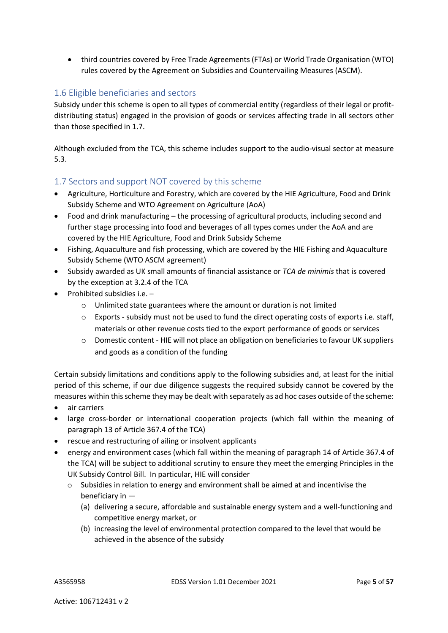• third countries covered by Free Trade Agreements (FTAs) or World Trade Organisation (WTO) rules covered by the Agreement on Subsidies and Countervailing Measures (ASCM).

## <span id="page-4-0"></span>1.6 Eligible beneficiaries and sectors

Subsidy under this scheme is open to all types of commercial entity (regardless of their legal or profitdistributing status) engaged in the provision of goods or services affecting trade in all sectors other than those specified in 1.7.

Although excluded from the TCA, this scheme includes support to the audio-visual sector at measure 5.3.

## <span id="page-4-1"></span>1.7 Sectors and support NOT covered by this scheme

- Agriculture, Horticulture and Forestry, which are covered by the HIE Agriculture, Food and Drink Subsidy Scheme and WTO Agreement on Agriculture (AoA)
- Food and drink manufacturing the processing of agricultural products, including second and further stage processing into food and beverages of all types comes under the AoA and are covered by the HIE Agriculture, Food and Drink Subsidy Scheme
- Fishing, Aquaculture and fish processing, which are covered by the HIE Fishing and Aquaculture Subsidy Scheme (WTO ASCM agreement)
- Subsidy awarded as UK small amounts of financial assistance or *TCA de minimis* that is covered by the exception at 3.2.4 of the TCA
- Prohibited subsidies i.e.  $$ 
	- o Unlimited state guarantees where the amount or duration is not limited
	- $\circ$  Exports subsidy must not be used to fund the direct operating costs of exports i.e. staff, materials or other revenue costs tied to the export performance of goods or services
	- o Domestic content HIE will not place an obligation on beneficiariesto favour UK suppliers and goods as a condition of the funding

Certain subsidy limitations and conditions apply to the following subsidies and, at least for the initial period of this scheme, if our due diligence suggests the required subsidy cannot be covered by the measures within this scheme they may be dealt with separately as ad hoc cases outside of the scheme:

- air carriers
- large cross-border or international cooperation projects (which fall within the meaning of paragraph 13 of Article 367.4 of the TCA)
- rescue and restructuring of ailing or insolvent applicants
- energy and environment cases (which fall within the meaning of paragraph 14 of Article 367.4 of the TCA) will be subject to additional scrutiny to ensure they meet the emerging Principles in the UK Subsidy Control Bill. In particular, HIE will consider
	- $\circ$  Subsidies in relation to energy and environment shall be aimed at and incentivise the beneficiary in —
		- (a) delivering a secure, affordable and sustainable energy system and a well-functioning and competitive energy market, or
		- (b) increasing the level of environmental protection compared to the level that would be achieved in the absence of the subsidy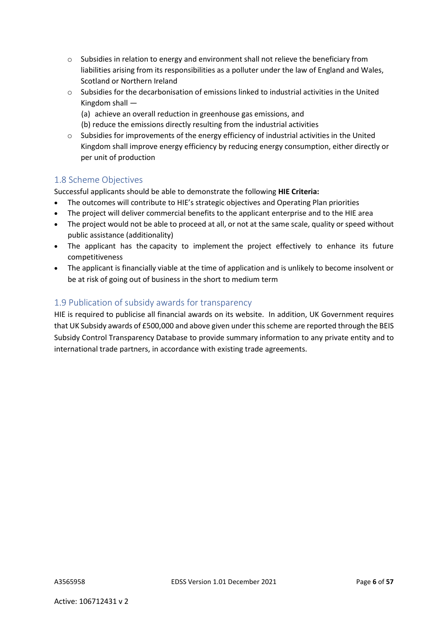- $\circ$  Subsidies in relation to energy and environment shall not relieve the beneficiary from liabilities arising from its responsibilities as a polluter under the law of England and Wales, Scotland or Northern Ireland
- $\circ$  Subsidies for the decarbonisation of emissions linked to industrial activities in the United Kingdom shall —
	- (a) achieve an overall reduction in greenhouse gas emissions, and
	- (b) reduce the emissions directly resulting from the industrial activities
- $\circ$  Subsidies for improvements of the energy efficiency of industrial activities in the United Kingdom shall improve energy efficiency by reducing energy consumption, either directly or per unit of production

## <span id="page-5-0"></span>1.8 Scheme Objectives

Successful applicants should be able to demonstrate the following **HIE Criteria:**

- The outcomes will contribute to HIE's strategic objectives and Operating Plan priorities
- The project will deliver commercial benefits to the applicant enterprise and to the HIE area
- The project would not be able to proceed at all, or not at the same scale, quality or speed without public assistance (additionality)
- The applicant has the capacity to implement the project effectively to enhance its future competitiveness
- The applicant is financially viable at the time of application and is unlikely to become insolvent or be at risk of going out of business in the short to medium term

## <span id="page-5-1"></span>1.9 Publication of subsidy awards for transparency

HIE is required to publicise all financial awards on its website. In addition, UK Government requires that UK Subsidy awards of £500,000 and above given under this scheme are reported through the BEIS Subsidy Control Transparency Database to provide summary information to any private entity and to international trade partners, in accordance with existing trade agreements.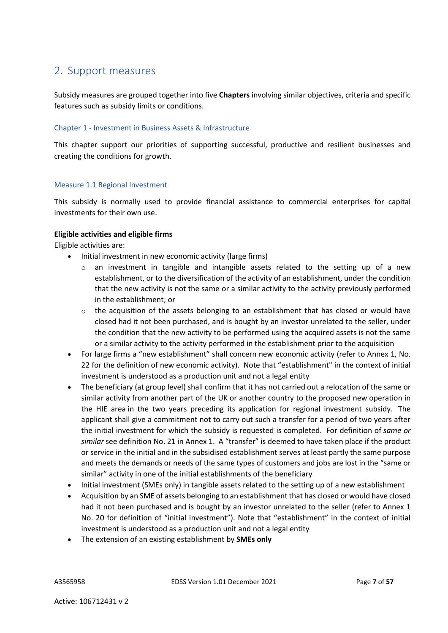## <span id="page-6-0"></span>2. Support measures

Subsidy measures are grouped together into five **Chapters** involving similar objectives, criteria and specific features such as subsidy limits or conditions.

## <span id="page-6-1"></span>Chapter 1 - Investment in Business Assets & Infrastructure

This chapter support our priorities of supporting successful, productive and resilient businesses and creating the conditions for growth.

## <span id="page-6-2"></span>Measure 1.1 Regional Investment

This subsidy is normally used to provide financial assistance to commercial enterprises for capital investments for their own use.

## **Eligible activities and eligible firms**

Eligible activities are:

- Initial investment in new economic activity (large firms)
	- $\circ$  an investment in tangible and intangible assets related to the setting up of a new establishment, or to the diversification of the activity of an establishment, under the condition that the new activity is not the same or a similar activity to the activity previously performed in the establishment; or
	- $\circ$  the acquisition of the assets belonging to an establishment that has closed or would have closed had it not been purchased, and is bought by an investor unrelated to the seller, under the condition that the new activity to be performed using the acquired assets is not the same or a similar activity to the activity performed in the establishment prior to the acquisition
- For large firms a "new establishment" shall concern new economic activity (refer to Annex 1, No. 22 for the definition of new economic activity). Note that "establishment" in the context of initial investment is understood as a production unit and not a legal entity
- The beneficiary (at group level) shall confirm that it has not carried out a relocation of the same or similar activity from another part of the UK or another country to the proposed new operation in the HIE area in the two years preceding its application for regional investment subsidy. The applicant shall give a commitment not to carry out such a transfer for a period of two years after the initial investment for which the subsidy is requested is completed. For definition of *same or similar* see definition No. 21 in Annex 1. A "transfer" is deemed to have taken place if the product or service in the initial and in the subsidised establishment serves at least partly the same purpose and meets the demands or needs of the same types of customers and jobs are lost in the "same or similar" activity in one of the initial establishments of the beneficiary
- Initial investment (SMEs only) in tangible assets related to the setting up of a new establishment
- Acquisition by an SME of assets belonging to an establishment that has closed or would have closed had it not been purchased and is bought by an investor unrelated to the seller (refer to Annex 1 No. 20 for definition of "initial investment"). Note that "establishment" in the context of initial investment is understood as a production unit and not a legal entity
- The extension of an existing establishment by **SMEs only**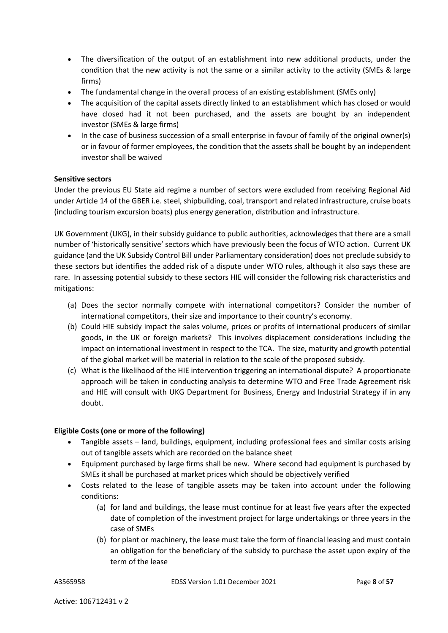- The diversification of the output of an establishment into new additional products, under the condition that the new activity is not the same or a similar activity to the activity (SMEs & large firms)
- The fundamental change in the overall process of an existing establishment (SMEs only)
- The acquisition of the capital assets directly linked to an establishment which has closed or would have closed had it not been purchased, and the assets are bought by an independent investor (SMEs & large firms)
- In the case of business succession of a small enterprise in favour of family of the original owner(s) or in favour of former employees, the condition that the assets shall be bought by an independent investor shall be waived

## **Sensitive sectors**

Under the previous EU State aid regime a number of sectors were excluded from receiving Regional Aid under Article 14 of the GBER i.e. steel, shipbuilding, coal, transport and related infrastructure, cruise boats (including tourism excursion boats) plus energy generation, distribution and infrastructure.

UK Government (UKG), in their subsidy guidance to public authorities, acknowledges that there are a small number of 'historically sensitive' sectors which have previously been the focus of WTO action. Current UK guidance (and the UK Subsidy Control Bill under Parliamentary consideration) does not preclude subsidy to these sectors but identifies the added risk of a dispute under WTO rules, although it also says these are rare. In assessing potential subsidy to these sectors HIE will consider the following risk characteristics and mitigations:

- (a) Does the sector normally compete with international competitors? Consider the number of international competitors, their size and importance to their country's economy.
- (b) Could HIE subsidy impact the sales volume, prices or profits of international producers of similar goods, in the UK or foreign markets? This involves displacement considerations including the impact on international investment in respect to the TCA. The size, maturity and growth potential of the global market will be material in relation to the scale of the proposed subsidy.
- (c) What is the likelihood of the HIE intervention triggering an international dispute? A proportionate approach will be taken in conducting analysis to determine WTO and Free Trade Agreement risk and HIE will consult with UKG Department for Business, Energy and Industrial Strategy if in any doubt.

## **Eligible Costs (one or more of the following)**

- Tangible assets land, buildings, equipment, including professional fees and similar costs arising out of tangible assets which are recorded on the balance sheet
- Equipment purchased by large firms shall be new. Where second had equipment is purchased by SMEs it shall be purchased at market prices which should be objectively verified
- Costs related to the lease of tangible assets may be taken into account under the following conditions:
	- (a) for land and buildings, the lease must continue for at least five years after the expected date of completion of the investment project for large undertakings or three years in the case of SMEs
	- (b) for plant or machinery, the lease must take the form of financial leasing and must contain an obligation for the beneficiary of the subsidy to purchase the asset upon expiry of the term of the lease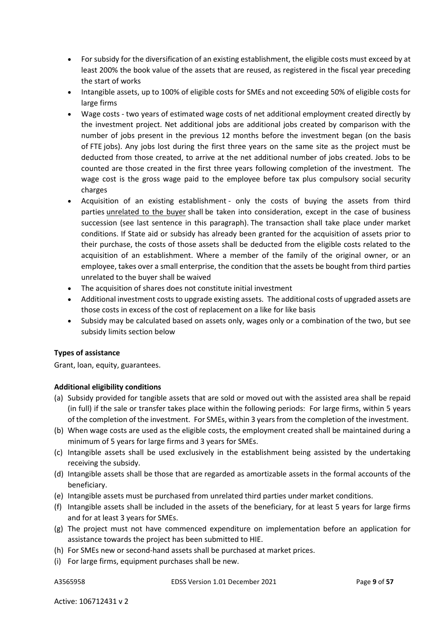- For subsidy for the diversification of an existing establishment, the eligible costs must exceed by at least 200% the book value of the assets that are reused, as registered in the fiscal year preceding the start of works
- Intangible assets, up to 100% of eligible costs for SMEs and not exceeding 50% of eligible costs for large firms
- Wage costs two years of estimated wage costs of net additional employment created directly by the investment project. Net additional jobs are additional jobs created by comparison with the number of jobs present in the previous 12 months before the investment began (on the basis of FTE jobs). Any jobs lost during the first three years on the same site as the project must be deducted from those created, to arrive at the net additional number of jobs created. Jobs to be counted are those created in the first three years following completion of the investment. The wage cost is the gross wage paid to the employee before tax plus compulsory social security charges
- Acquisition of an existing establishment only the costs of buying the assets from third parties unrelated to the buyer shall be taken into consideration, except in the case of business succession (see last sentence in this paragraph). The transaction shall take place under market conditions. If State aid or subsidy has already been granted for the acquisition of assets prior to their purchase, the costs of those assets shall be deducted from the eligible costs related to the acquisition of an establishment. Where a member of the family of the original owner, or an employee, takes over a small enterprise, the condition that the assets be bought from third parties unrelated to the buyer shall be waived
- The acquisition of shares does not constitute initial investment
- Additional investment costs to upgrade existing assets. The additional costs of upgraded assets are those costs in excess of the cost of replacement on a like for like basis
- Subsidy may be calculated based on assets only, wages only or a combination of the two, but see subsidy limits section below

## **Types of assistance**

Grant, loan, equity, guarantees.

## **Additional eligibility conditions**

- (a) Subsidy provided for tangible assets that are sold or moved out with the assisted area shall be repaid (in full) if the sale or transfer takes place within the following periods: For large firms, within 5 years of the completion of the investment. For SMEs, within 3 years from the completion of the investment.
- (b) When wage costs are used as the eligible costs, the employment created shall be maintained during a minimum of 5 years for large firms and 3 years for SMEs.
- (c) Intangible assets shall be used exclusively in the establishment being assisted by the undertaking receiving the subsidy.
- (d) Intangible assets shall be those that are regarded as amortizable assets in the formal accounts of the beneficiary.
- (e) Intangible assets must be purchased from unrelated third parties under market conditions.
- (f) Intangible assets shall be included in the assets of the beneficiary, for at least 5 years for large firms and for at least 3 years for SMEs.
- (g) The project must not have commenced expenditure on implementation before an application for assistance towards the project has been submitted to HIE.
- (h) For SMEs new or second-hand assets shall be purchased at market prices.
- (i) For large firms, equipment purchases shall be new.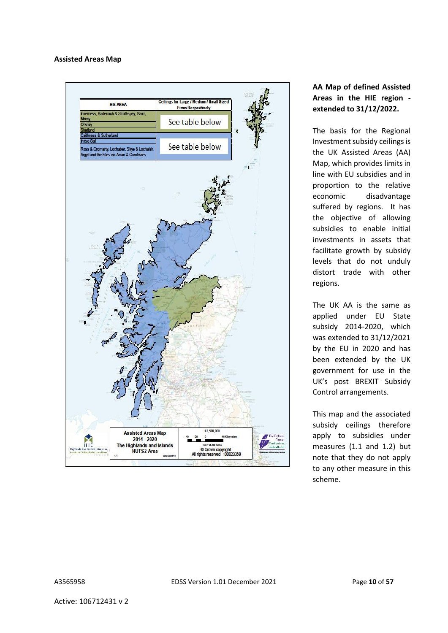#### **Assisted Areas Map**



## **AA Map of defined Assisted Areas in the HIE region extended to 31/12/2022.**

The basis for the Regional Investment subsidy ceilings is the UK Assisted Areas (AA) Map, which provides limits in line with EU subsidies and in proportion to the relative economic disadvantage suffered by regions. It has the objective of allowing subsidies to enable initial investments in assets that facilitate growth by subsidy levels that do not unduly distort trade with other regions.

The UK AA is the same as applied under EU State subsidy 2014-2020, which was extended to 31/12/2021 by the EU in 2020 and has been extended by the UK government for use in the UK's post BREXIT Subsidy Control arrangements.

This map and the associated subsidy ceilings therefore apply to subsidies under measures (1.1 and 1.2) but note that they do not apply to any other measure in this scheme.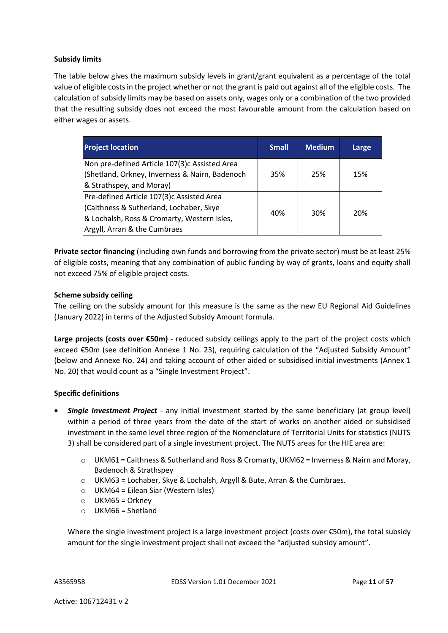## **Subsidy limits**

The table below gives the maximum subsidy levels in grant/grant equivalent as a percentage of the total value of eligible costs in the project whether or not the grant is paid out against all of the eligible costs. The calculation of subsidy limits may be based on assets only, wages only or a combination of the two provided that the resulting subsidy does not exceed the most favourable amount from the calculation based on either wages or assets.

| <b>Project location</b>                        | <b>Small</b> | <b>Medium</b>   | Large |
|------------------------------------------------|--------------|-----------------|-------|
| Non pre-defined Article 107(3)c Assisted Area  |              |                 |       |
| (Shetland, Orkney, Inverness & Nairn, Badenoch | 35%          | 25%             | 15%   |
| & Strathspey, and Moray)                       |              |                 |       |
| Pre-defined Article 107(3)c Assisted Area      |              |                 |       |
| (Caithness & Sutherland, Lochaber, Skye        | 40%          | 30 <sup>%</sup> | 20%   |
| & Lochalsh, Ross & Cromarty, Western Isles,    |              |                 |       |
| Argyll, Arran & the Cumbraes                   |              |                 |       |

**Private sector financing** (including own funds and borrowing from the private sector) must be at least 25% of eligible costs, meaning that any combination of public funding by way of grants, loans and equity shall not exceed 75% of eligible project costs.

## **Scheme subsidy ceiling**

The ceiling on the subsidy amount for this measure is the same as the new EU Regional Aid Guidelines (January 2022) in terms of the Adjusted Subsidy Amount formula.

**Large projects (costs over €50m)** - reduced subsidy ceilings apply to the part of the project costs which exceed €50m (see definition Annexe 1 No. 23), requiring calculation of the "Adjusted Subsidy Amount" (below and Annexe No. 24) and taking account of other aided or subsidised initial investments (Annex 1 No. 20) that would count as a "Single Investment Project".

## **Specific definitions**

- *Single Investment Project* any initial investment started by the same beneficiary (at group level) within a period of three years from the date of the start of works on another aided or subsidised investment in the same level three region of the Nomenclature of Territorial Units for statistics (NUTS 3) shall be considered part of a single investment project. The NUTS areas for the HIE area are:
	- $\circ$  UKM61 = Caithness & Sutherland and Ross & Cromarty, UKM62 = Inverness & Nairn and Moray, Badenoch & Strathspey
	- o UKM63 = Lochaber, Skye & Lochalsh, Argyll & Bute, Arran & the Cumbraes.
	- o UKM64 = Eilean Siar (Western Isles)
	- o UKM65 = Orkney
	- $O$  UKM66 = Shetland

Where the single investment project is a large investment project (costs over  $\epsilon$ 50m), the total subsidy amount for the single investment project shall not exceed the "adjusted subsidy amount".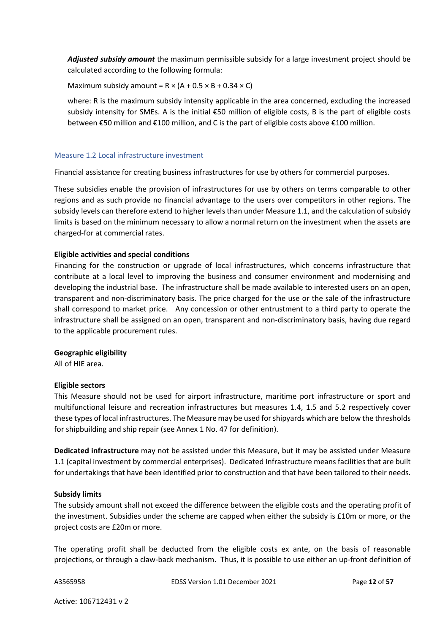*Adjusted subsidy amount* the maximum permissible subsidy for a large investment project should be calculated according to the following formula:

Maximum subsidy amount =  $R \times (A + 0.5 \times B + 0.34 \times C)$ 

where: R is the maximum subsidy intensity applicable in the area concerned, excluding the increased subsidy intensity for SMEs. A is the initial €50 million of eligible costs, B is the part of eligible costs between €50 million and €100 million, and C is the part of eligible costs above €100 million.

#### <span id="page-11-0"></span>Measure 1.2 Local infrastructure investment

Financial assistance for creating business infrastructures for use by others for commercial purposes.

These subsidies enable the provision of infrastructures for use by others on terms comparable to other regions and as such provide no financial advantage to the users over competitors in other regions. The subsidy levels can therefore extend to higher levels than under Measure 1.1, and the calculation of subsidy limits is based on the minimum necessary to allow a normal return on the investment when the assets are charged-for at commercial rates.

#### **Eligible activities and special conditions**

Financing for the construction or upgrade of local infrastructures, which concerns infrastructure that contribute at a local level to improving the business and consumer environment and modernising and developing the industrial base. The infrastructure shall be made available to interested users on an open, transparent and non-discriminatory basis. The price charged for the use or the sale of the infrastructure shall correspond to market price. Any concession or other entrustment to a third party to operate the infrastructure shall be assigned on an open, transparent and non-discriminatory basis, having due regard to the applicable procurement rules.

#### **Geographic eligibility**

All of HIE area.

#### **Eligible sectors**

This Measure should not be used for airport infrastructure, maritime port infrastructure or sport and multifunctional leisure and recreation infrastructures but measures 1.4, 1.5 and 5.2 respectively cover these types of local infrastructures. The Measure may be used for shipyards which are below the thresholds for shipbuilding and ship repair (see Annex 1 No. 47 for definition).

**Dedicated infrastructure** may not be assisted under this Measure, but it may be assisted under Measure 1.1 (capital investment by commercial enterprises). Dedicated Infrastructure means facilities that are built for undertakings that have been identified prior to construction and that have been tailored to their needs.

#### **Subsidy limits**

The subsidy amount shall not exceed the difference between the eligible costs and the operating profit of the investment. Subsidies under the scheme are capped when either the subsidy is £10m or more, or the project costs are £20m or more.

The operating profit shall be deducted from the eligible costs ex ante, on the basis of reasonable projections, or through a claw-back mechanism. Thus, it is possible to use either an up-front definition of

A3565958 EDSS Version 1.01 December 2021 Page **12** of **57**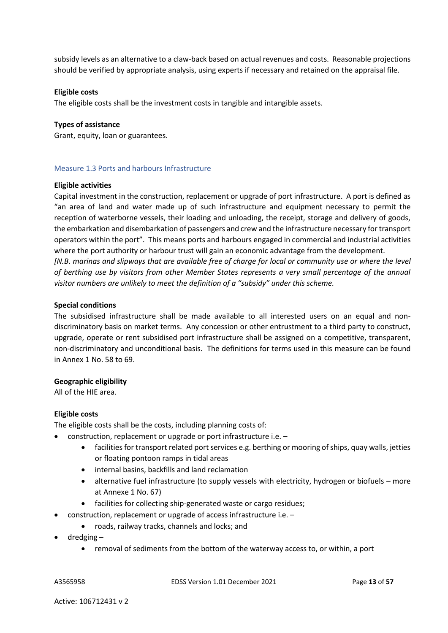subsidy levels as an alternative to a claw-back based on actual revenues and costs. Reasonable projections should be verified by appropriate analysis, using experts if necessary and retained on the appraisal file.

#### **Eligible costs**

The eligible costs shall be the investment costs in tangible and intangible assets.

*visitor numbers are unlikely to meet the definition of a "subsidy" under this scheme.*

#### **Types of assistance**

Grant, equity, loan or guarantees.

#### <span id="page-12-0"></span>Measure 1.3 Ports and harbours Infrastructure

#### **Eligible activities**

Capital investment in the construction, replacement or upgrade of port infrastructure. A port is defined as "an area of land and water made up of such infrastructure and equipment necessary to permit the reception of waterborne vessels, their loading and unloading, the receipt, storage and delivery of goods, the embarkation and disembarkation of passengers and crew and the infrastructure necessary for transport operators within the port". This means ports and harbours engaged in commercial and industrial activities where the port authority or harbour trust will gain an economic advantage from the development. *[N.B. marinas and slipways that are available free of charge for local or community use or where the level of berthing use by visitors from other Member States represents a very small percentage of the annual* 

## **Special conditions**

The subsidised infrastructure shall be made available to all interested users on an equal and nondiscriminatory basis on market terms. Any concession or other entrustment to a third party to construct, upgrade, operate or rent subsidised port infrastructure shall be assigned on a competitive, transparent, non-discriminatory and unconditional basis. The definitions for terms used in this measure can be found in Annex 1 No. 58 to 69.

#### **Geographic eligibility**

All of the HIE area.

## **Eligible costs**

The eligible costs shall be the costs, including planning costs of:

- construction, replacement or upgrade or port infrastructure i.e.
	- facilities for transport related port services e.g. berthing or mooring of ships, quay walls, jetties or floating pontoon ramps in tidal areas
	- internal basins, backfills and land reclamation
	- alternative fuel infrastructure (to supply vessels with electricity, hydrogen or biofuels more at Annexe 1 No. 67)
	- facilities for collecting ship-generated waste or cargo residues;
- construction, replacement or upgrade of access infrastructure i.e.
	- roads, railway tracks, channels and locks; and
- dredging
	- removal of sediments from the bottom of the waterway access to, or within, a port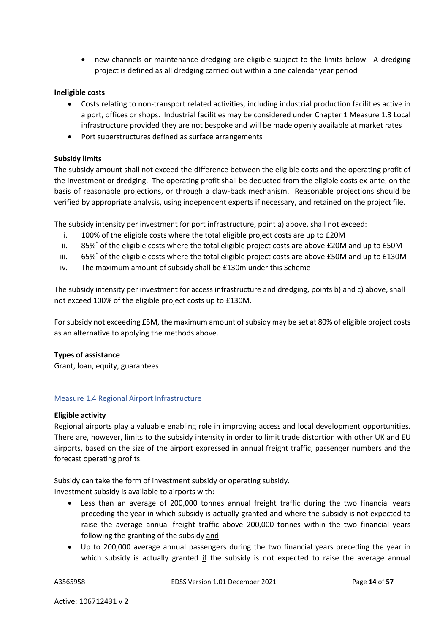• new channels or maintenance dredging are eligible subject to the limits below. A dredging project is defined as all dredging carried out within a one calendar year period

#### **Ineligible costs**

- Costs relating to non-transport related activities, including industrial production facilities active in a port, offices or shops. Industrial facilities may be considered under Chapter 1 Measure 1.3 Local infrastructure provided they are not bespoke and will be made openly available at market rates
- Port superstructures defined as surface arrangements

#### **Subsidy limits**

The subsidy amount shall not exceed the difference between the eligible costs and the operating profit of the investment or dredging. The operating profit shall be deducted from the eligible costs ex-ante, on the basis of reasonable projections, or through a claw-back mechanism. Reasonable projections should be verified by appropriate analysis, using independent experts if necessary, and retained on the project file.

The subsidy intensity per investment for port infrastructure, point a) above, shall not exceed:

- i. 100% of the eligible costs where the total eligible project costs are up to £20M
- ii. 85%\* of the eligible costs where the total eligible project costs are above £20M and up to £50M
- iii.  $65\%$  of the eligible costs where the total eligible project costs are above £50M and up to £130M
- iv. The maximum amount of subsidy shall be £130m under this Scheme

The subsidy intensity per investment for access infrastructure and dredging, points b) and c) above, shall not exceed 100% of the eligible project costs up to £130M.

For subsidy not exceeding £5M, the maximum amount of subsidy may be set at 80% of eligible project costs as an alternative to applying the methods above.

#### **Types of assistance**

Grant, loan, equity, guarantees

## <span id="page-13-0"></span>Measure 1.4 Regional Airport Infrastructure

#### **Eligible activity**

Regional airports play a valuable enabling role in improving access and local development opportunities. There are, however, limits to the subsidy intensity in order to limit trade distortion with other UK and EU airports, based on the size of the airport expressed in annual freight traffic, passenger numbers and the forecast operating profits.

Subsidy can take the form of investment subsidy or operating subsidy.

Investment subsidy is available to airports with:

- Less than an average of 200,000 tonnes annual freight traffic during the two financial years preceding the year in which subsidy is actually granted and where the subsidy is not expected to raise the average annual freight traffic above 200,000 tonnes within the two financial years following the granting of the subsidy and
- Up to 200,000 average annual passengers during the two financial years preceding the year in which subsidy is actually granted if the subsidy is not expected to raise the average annual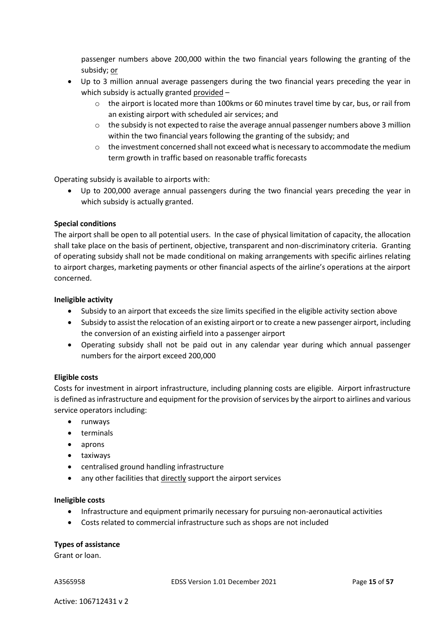passenger numbers above 200,000 within the two financial years following the granting of the subsidy; or

- Up to 3 million annual average passengers during the two financial years preceding the year in which subsidy is actually granted provided -
	- $\circ$  the airport is located more than 100 kms or 60 minutes travel time by car, bus, or rail from an existing airport with scheduled air services; and
	- o the subsidy is not expected to raise the average annual passenger numbers above 3 million within the two financial years following the granting of the subsidy; and
	- $\circ$  the investment concerned shall not exceed what is necessary to accommodate the medium term growth in traffic based on reasonable traffic forecasts

Operating subsidy is available to airports with:

• Up to 200,000 average annual passengers during the two financial years preceding the year in which subsidy is actually granted.

## **Special conditions**

The airport shall be open to all potential users. In the case of physical limitation of capacity, the allocation shall take place on the basis of pertinent, objective, transparent and non-discriminatory criteria. Granting of operating subsidy shall not be made conditional on making arrangements with specific airlines relating to airport charges, marketing payments or other financial aspects of the airline's operations at the airport concerned.

## **Ineligible activity**

- Subsidy to an airport that exceeds the size limits specified in the eligible activity section above
- Subsidy to assist the relocation of an existing airport or to create a new passenger airport, including the conversion of an existing airfield into a passenger airport
- Operating subsidy shall not be paid out in any calendar year during which annual passenger numbers for the airport exceed 200,000

## **Eligible costs**

Costs for investment in airport infrastructure, including planning costs are eligible. Airport infrastructure is defined as infrastructure and equipment for the provision of services by the airport to airlines and various service operators including:

- runways
- terminals
- aprons
- taxiways
- centralised ground handling infrastructure
- any other facilities that directly support the airport services

## **Ineligible costs**

- Infrastructure and equipment primarily necessary for pursuing non-aeronautical activities
- Costs related to commercial infrastructure such as shops are not included

## **Types of assistance**

Grant or loan.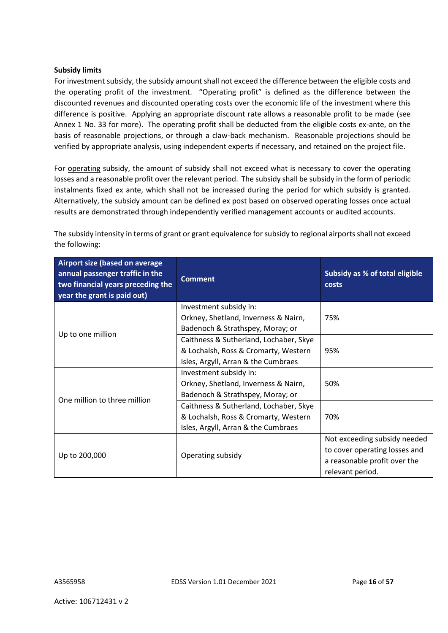#### **Subsidy limits**

For investment subsidy, the subsidy amount shall not exceed the difference between the eligible costs and the operating profit of the investment. "Operating profit" is defined as the difference between the discounted revenues and discounted operating costs over the economic life of the investment where this difference is positive. Applying an appropriate discount rate allows a reasonable profit to be made (see Annex 1 No. 33 for more). The operating profit shall be deducted from the eligible costs ex-ante, on the basis of reasonable projections, or through a claw-back mechanism. Reasonable projections should be verified by appropriate analysis, using independent experts if necessary, and retained on the project file.

For operating subsidy, the amount of subsidy shall not exceed what is necessary to cover the operating losses and a reasonable profit over the relevant period. The subsidy shall be subsidy in the form of periodic instalments fixed ex ante, which shall not be increased during the period for which subsidy is granted. Alternatively, the subsidy amount can be defined ex post based on observed operating losses once actual results are demonstrated through independently verified management accounts or audited accounts.

The subsidy intensity in terms of grant or grant equivalence for subsidy to regional airports shall not exceed the following:

| Airport size (based on average<br>annual passenger traffic in the<br>two financial years preceding the<br>year the grant is paid out) | Comment                                | Subsidy as % of total eligible<br>costs |
|---------------------------------------------------------------------------------------------------------------------------------------|----------------------------------------|-----------------------------------------|
|                                                                                                                                       | Investment subsidy in:                 |                                         |
|                                                                                                                                       | Orkney, Shetland, Inverness & Nairn,   | 75%                                     |
|                                                                                                                                       | Badenoch & Strathspey, Moray; or       |                                         |
| Up to one million                                                                                                                     | Caithness & Sutherland, Lochaber, Skye |                                         |
|                                                                                                                                       | & Lochalsh, Ross & Cromarty, Western   | 95%                                     |
|                                                                                                                                       | Isles, Argyll, Arran & the Cumbraes    |                                         |
|                                                                                                                                       | Investment subsidy in:                 |                                         |
|                                                                                                                                       | Orkney, Shetland, Inverness & Nairn,   | 50%                                     |
| One million to three million                                                                                                          | Badenoch & Strathspey, Moray; or       |                                         |
|                                                                                                                                       | Caithness & Sutherland, Lochaber, Skye |                                         |
|                                                                                                                                       | & Lochalsh, Ross & Cromarty, Western   | 70%                                     |
|                                                                                                                                       | Isles, Argyll, Arran & the Cumbraes    |                                         |
|                                                                                                                                       |                                        | Not exceeding subsidy needed            |
| Up to 200,000                                                                                                                         |                                        | to cover operating losses and           |
|                                                                                                                                       | Operating subsidy                      | a reasonable profit over the            |
|                                                                                                                                       |                                        | relevant period.                        |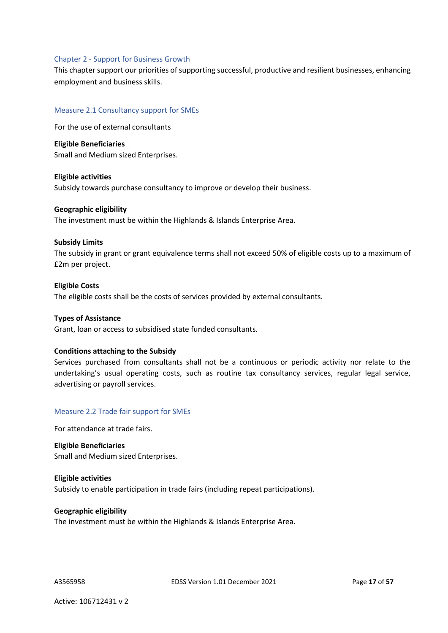## <span id="page-16-0"></span>Chapter 2 - Support for Business Growth

This chapter support our priorities of supporting successful, productive and resilient businesses, enhancing employment and business skills.

### <span id="page-16-1"></span>Measure 2.1 Consultancy support for SMEs

For the use of external consultants

**Eligible Beneficiaries** Small and Medium sized Enterprises.

**Eligible activities**

Subsidy towards purchase consultancy to improve or develop their business.

#### **Geographic eligibility**

The investment must be within the Highlands & Islands Enterprise Area.

#### **Subsidy Limits**

The subsidy in grant or grant equivalence terms shall not exceed 50% of eligible costs up to a maximum of £2m per project.

#### **Eligible Costs**

The eligible costs shall be the costs of services provided by external consultants.

#### **Types of Assistance**

Grant, loan or access to subsidised state funded consultants.

#### **Conditions attaching to the Subsidy**

Services purchased from consultants shall not be a continuous or periodic activity nor relate to the undertaking's usual operating costs, such as routine tax consultancy services, regular legal service, advertising or payroll services.

#### <span id="page-16-2"></span>Measure 2.2 Trade fair support for SMEs

For attendance at trade fairs.

**Eligible Beneficiaries** Small and Medium sized Enterprises.

#### **Eligible activities**

Subsidy to enable participation in trade fairs (including repeat participations).

#### **Geographic eligibility**

The investment must be within the Highlands & Islands Enterprise Area.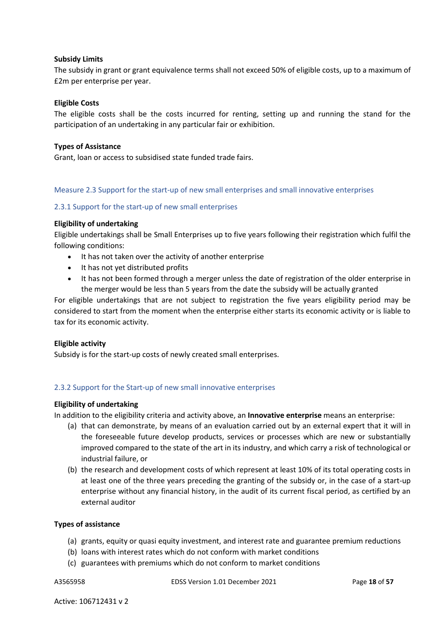#### **Subsidy Limits**

The subsidy in grant or grant equivalence terms shall not exceed 50% of eligible costs, up to a maximum of £2m per enterprise per year.

### **Eligible Costs**

The eligible costs shall be the costs incurred for renting, setting up and running the stand for the participation of an undertaking in any particular fair or exhibition.

#### **Types of Assistance**

Grant, loan or access to subsidised state funded trade fairs.

#### <span id="page-17-0"></span>Measure 2.3 Support for the start-up of new small enterprises and small innovative enterprises

#### <span id="page-17-1"></span>2.3.1 Support for the start-up of new small enterprises

#### **Eligibility of undertaking**

Eligible undertakings shall be Small Enterprises up to five years following their registration which fulfil the following conditions:

- It has not taken over the activity of another enterprise
- It has not yet distributed profits
- It has not been formed through a merger unless the date of registration of the older enterprise in the merger would be less than 5 years from the date the subsidy will be actually granted

For eligible undertakings that are not subject to registration the five years eligibility period may be considered to start from the moment when the enterprise either starts its economic activity or is liable to tax for its economic activity.

## **Eligible activity**

Subsidy is for the start-up costs of newly created small enterprises.

## <span id="page-17-2"></span>2.3.2 Support for the Start-up of new small innovative enterprises

#### **Eligibility of undertaking**

In addition to the eligibility criteria and activity above, an **Innovative enterprise** means an enterprise:

- (a) that can demonstrate, by means of an evaluation carried out by an external expert that it will in the foreseeable future develop products, services or processes which are new or substantially improved compared to the state of the art in its industry, and which carry a risk of technological or industrial failure, or
- (b) the research and development costs of which represent at least 10% of its total operating costs in at least one of the three years preceding the granting of the subsidy or, in the case of a start-up enterprise without any financial history, in the audit of its current fiscal period, as certified by an external auditor

#### **Types of assistance**

- (a) grants, equity or quasi equity investment, and interest rate and guarantee premium reductions
- (b) loans with interest rates which do not conform with market conditions
- (c) guarantees with premiums which do not conform to market conditions

A3565958 EDSS Version 1.01 December 2021 Page **18** of **57**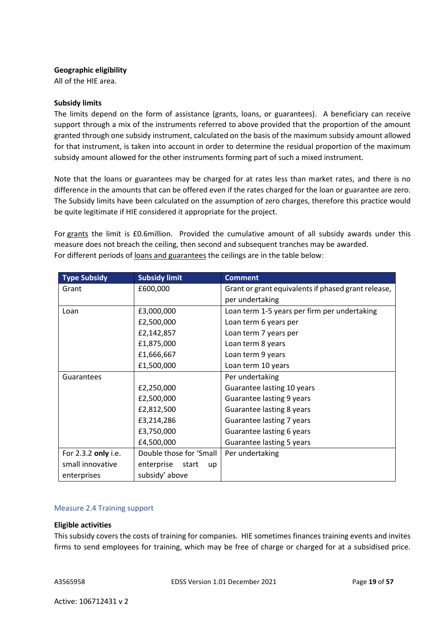## **Geographic eligibility**

All of the HIE area.

## **Subsidy limits**

The limits depend on the form of assistance (grants, loans, or guarantees). A beneficiary can receive support through a mix of the instruments referred to above provided that the proportion of the amount granted through one subsidy instrument, calculated on the basis of the maximum subsidy amount allowed for that instrument, is taken into account in order to determine the residual proportion of the maximum subsidy amount allowed for the other instruments forming part of such a mixed instrument.

Note that the loans or guarantees may be charged for at rates less than market rates, and there is no difference in the amounts that can be offered even if the rates charged for the loan or guarantee are zero. The Subsidy limits have been calculated on the assumption of zero charges, therefore this practice would be quite legitimate if HIE considered it appropriate for the project.

For grants the limit is £0.6million. Provided the cumulative amount of all subsidy awards under this measure does not breach the ceiling, then second and subsequent tranches may be awarded. For different periods of loans and guarantees the ceilings are in the table below:

| <b>Type Subsidy</b> | <b>Subsidy limit</b>      | <b>Comment</b>                                      |  |  |
|---------------------|---------------------------|-----------------------------------------------------|--|--|
| Grant               | £600,000                  | Grant or grant equivalents if phased grant release, |  |  |
|                     |                           | per undertaking                                     |  |  |
| Loan                | £3,000,000                | Loan term 1-5 years per firm per undertaking        |  |  |
|                     | £2,500,000                | Loan term 6 years per                               |  |  |
|                     | £2,142,857                | Loan term 7 years per                               |  |  |
|                     | £1,875,000                | Loan term 8 years                                   |  |  |
|                     | £1,666,667                | Loan term 9 years                                   |  |  |
|                     | £1,500,000                | Loan term 10 years                                  |  |  |
| Guarantees          |                           | Per undertaking                                     |  |  |
|                     | £2,250,000                | Guarantee lasting 10 years                          |  |  |
|                     | £2,500,000                | Guarantee lasting 9 years                           |  |  |
|                     | £2,812,500                | Guarantee lasting 8 years                           |  |  |
|                     | £3,214,286                | Guarantee lasting 7 years                           |  |  |
|                     | £3,750,000                | Guarantee lasting 6 years                           |  |  |
|                     | £4,500,000                | Guarantee lasting 5 years                           |  |  |
| For 2.3.2 only i.e. | Double those for 'Small   | Per undertaking                                     |  |  |
| small innovative    | enterprise<br>start<br>up |                                                     |  |  |
| enterprises         | subsidy' above            |                                                     |  |  |

## <span id="page-18-0"></span>Measure 2.4 Training support

#### **Eligible activities**

This subsidy covers the costs of training for companies. HIE sometimes finances training events and invites firms to send employees for training, which may be free of charge or charged for at a subsidised price.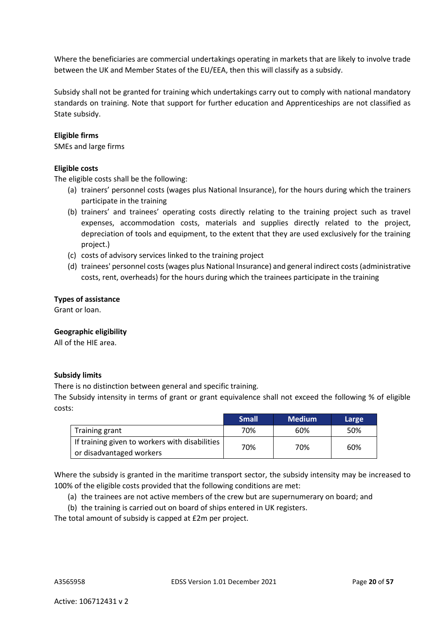Where the beneficiaries are commercial undertakings operating in markets that are likely to involve trade between the UK and Member States of the EU/EEA, then this will classify as a subsidy.

Subsidy shall not be granted for training which undertakings carry out to comply with national mandatory standards on training. Note that support for further education and Apprenticeships are not classified as State subsidy.

## **Eligible firms**

SMEs and large firms

## **Eligible costs**

The eligible costs shall be the following:

- (a) trainers' personnel costs (wages plus National Insurance), for the hours during which the trainers participate in the training
- (b) trainers' and trainees' operating costs directly relating to the training project such as travel expenses, accommodation costs, materials and supplies directly related to the project, depreciation of tools and equipment, to the extent that they are used exclusively for the training project.)
- (c) costs of advisory services linked to the training project
- (d) trainees' personnel costs (wages plus National Insurance) and general indirect costs (administrative costs, rent, overheads) for the hours during which the trainees participate in the training

## **Types of assistance**

Grant or loan.

## **Geographic eligibility**

All of the HIE area.

## **Subsidy limits**

There is no distinction between general and specific training.

The Subsidy intensity in terms of grant or grant equivalence shall not exceed the following % of eligible costs:

| <b>Small</b> | <b>Medium</b> | Large |
|--------------|---------------|-------|
| 70%          | 60%           | 50%   |
| 70%          | 70%           | 60%   |
|              |               |       |

Where the subsidy is granted in the maritime transport sector, the subsidy intensity may be increased to 100% of the eligible costs provided that the following conditions are met:

- (a) the trainees are not active members of the crew but are supernumerary on board; and
- (b) the training is carried out on board of ships entered in UK registers.

The total amount of subsidy is capped at £2m per project.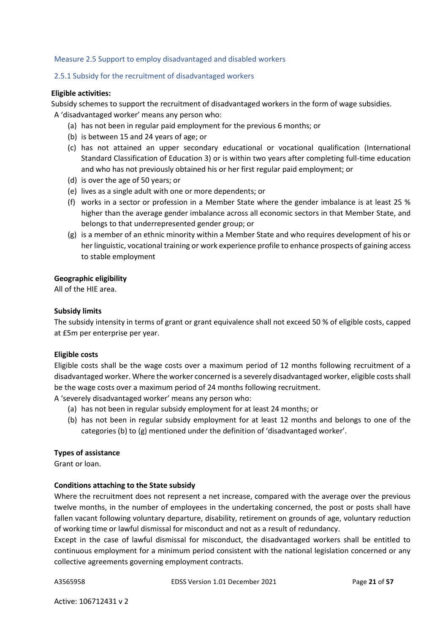#### <span id="page-20-0"></span>Measure 2.5 Support to employ disadvantaged and disabled workers

#### <span id="page-20-1"></span>2.5.1 Subsidy for the recruitment of disadvantaged workers

#### **Eligible activities:**

Subsidy schemes to support the recruitment of disadvantaged workers in the form of wage subsidies. A 'disadvantaged worker' means any person who:

- (a) has not been in regular paid employment for the previous 6 months; or
- (b) is between 15 and 24 years of age; or
- (c) has not attained an upper secondary educational or vocational qualification (International Standard Classification of Education 3) or is within two years after completing full-time education and who has not previously obtained his or her first regular paid employment; or
- (d) is over the age of 50 years; or
- (e) lives as a single adult with one or more dependents; or
- (f) works in a sector or profession in a Member State where the gender imbalance is at least 25 % higher than the average gender imbalance across all economic sectors in that Member State, and belongs to that underrepresented gender group; or
- (g) is a member of an ethnic minority within a Member State and who requires development of his or her linguistic, vocational training or work experience profile to enhance prospects of gaining access to stable employment

#### **Geographic eligibility**

All of the HIE area.

#### **Subsidy limits**

The subsidy intensity in terms of grant or grant equivalence shall not exceed 50 % of eligible costs, capped at £5m per enterprise per year.

## **Eligible costs**

Eligible costs shall be the wage costs over a maximum period of 12 months following recruitment of a disadvantaged worker. Where the worker concerned is a severely disadvantaged worker, eligible costs shall be the wage costs over a maximum period of 24 months following recruitment.

A 'severely disadvantaged worker' means any person who:

- (a) has not been in regular subsidy employment for at least 24 months; or
- (b) has not been in regular subsidy employment for at least 12 months and belongs to one of the categories (b) to (g) mentioned under the definition of 'disadvantaged worker'.

#### **Types of assistance**

Grant or loan.

## **Conditions attaching to the State subsidy**

Where the recruitment does not represent a net increase, compared with the average over the previous twelve months, in the number of employees in the undertaking concerned, the post or posts shall have fallen vacant following voluntary departure, disability, retirement on grounds of age, voluntary reduction of working time or lawful dismissal for misconduct and not as a result of redundancy.

Except in the case of lawful dismissal for misconduct, the disadvantaged workers shall be entitled to continuous employment for a minimum period consistent with the national legislation concerned or any collective agreements governing employment contracts.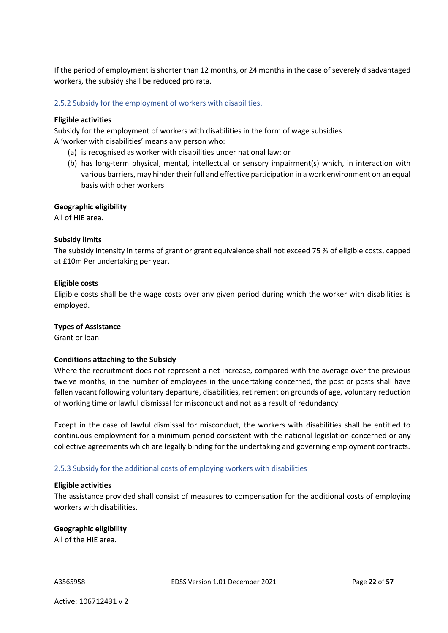If the period of employment is shorter than 12 months, or 24 months in the case of severely disadvantaged workers, the subsidy shall be reduced pro rata.

## <span id="page-21-0"></span>2.5.2 Subsidy for the employment of workers with disabilities.

### **Eligible activities**

Subsidy for the employment of workers with disabilities in the form of wage subsidies A 'worker with disabilities' means any person who:

- (a) is recognised as worker with disabilities under national law; or
- (b) has long-term physical, mental, intellectual or sensory impairment(s) which, in interaction with various barriers, may hinder their full and effective participation in a work environment on an equal basis with other workers

#### **Geographic eligibility**

All of HIE area.

## **Subsidy limits**

The subsidy intensity in terms of grant or grant equivalence shall not exceed 75 % of eligible costs, capped at £10m Per undertaking per year.

#### **Eligible costs**

Eligible costs shall be the wage costs over any given period during which the worker with disabilities is employed.

#### **Types of Assistance**

Grant or loan.

## **Conditions attaching to the Subsidy**

Where the recruitment does not represent a net increase, compared with the average over the previous twelve months, in the number of employees in the undertaking concerned, the post or posts shall have fallen vacant following voluntary departure, disabilities, retirement on grounds of age, voluntary reduction of working time or lawful dismissal for misconduct and not as a result of redundancy.

Except in the case of lawful dismissal for misconduct, the workers with disabilities shall be entitled to continuous employment for a minimum period consistent with the national legislation concerned or any collective agreements which are legally binding for the undertaking and governing employment contracts.

## <span id="page-21-1"></span>2.5.3 Subsidy for the additional costs of employing workers with disabilities

#### **Eligible activities**

The assistance provided shall consist of measures to compensation for the additional costs of employing workers with disabilities.

## **Geographic eligibility**

All of the HIE area.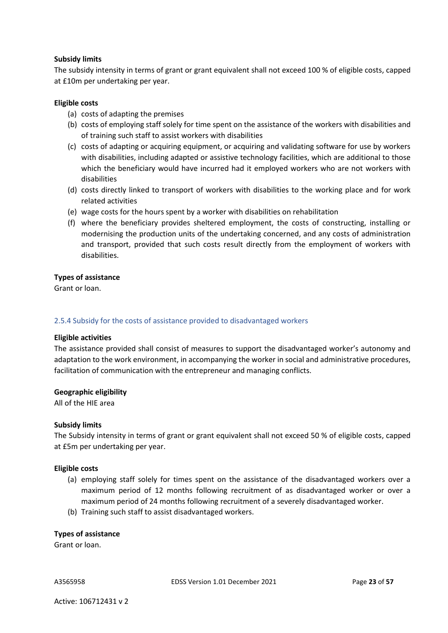## **Subsidy limits**

The subsidy intensity in terms of grant or grant equivalent shall not exceed 100 % of eligible costs, capped at £10m per undertaking per year.

### **Eligible costs**

- (a) costs of adapting the premises
- (b) costs of employing staff solely for time spent on the assistance of the workers with disabilities and of training such staff to assist workers with disabilities
- (c) costs of adapting or acquiring equipment, or acquiring and validating software for use by workers with disabilities, including adapted or assistive technology facilities, which are additional to those which the beneficiary would have incurred had it employed workers who are not workers with disabilities
- (d) costs directly linked to transport of workers with disabilities to the working place and for work related activities
- (e) wage costs for the hours spent by a worker with disabilities on rehabilitation
- (f) where the beneficiary provides sheltered employment, the costs of constructing, installing or modernising the production units of the undertaking concerned, and any costs of administration and transport, provided that such costs result directly from the employment of workers with disabilities.

#### **Types of assistance**

Grant or loan.

## <span id="page-22-0"></span>2.5.4 Subsidy for the costs of assistance provided to disadvantaged workers

#### **Eligible activities**

The assistance provided shall consist of measures to support the disadvantaged worker's autonomy and adaptation to the work environment, in accompanying the worker in social and administrative procedures, facilitation of communication with the entrepreneur and managing conflicts.

#### **Geographic eligibility**

All of the HIE area

#### **Subsidy limits**

The Subsidy intensity in terms of grant or grant equivalent shall not exceed 50 % of eligible costs, capped at £5m per undertaking per year.

## **Eligible costs**

- (a) employing staff solely for times spent on the assistance of the disadvantaged workers over a maximum period of 12 months following recruitment of as disadvantaged worker or over a maximum period of 24 months following recruitment of a severely disadvantaged worker.
- (b) Training such staff to assist disadvantaged workers.

## **Types of assistance**

Grant or loan.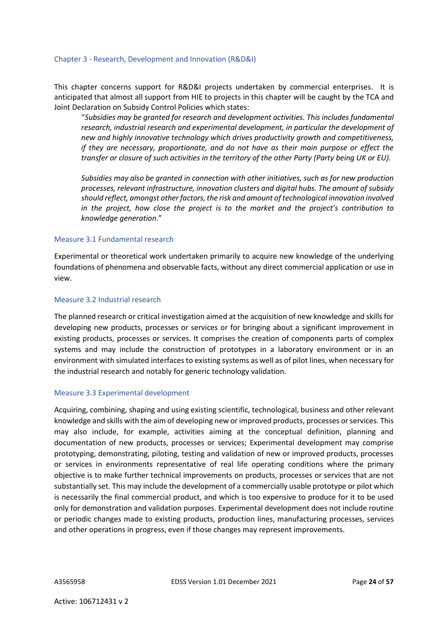#### <span id="page-23-0"></span>Chapter 3 - Research, Development and Innovation (R&D&I)

This chapter concerns support for R&D&I projects undertaken by commercial enterprises. It is anticipated that almost all support from HIE to projects in this chapter will be caught by the TCA and Joint Declaration on Subsidy Control Policies which states:

"*Subsidies may be granted for research and development activities. This includes fundamental research, industrial research and experimental development, in particular the development of new and highly innovative technology which drives productivity growth and competitiveness, if they are necessary, proportionate, and do not have as their main purpose or effect the transfer or closure of such activities in the territory of the other Party (Party being UK or EU).* 

*Subsidies may also be granted in connection with other initiatives, such as for new production processes, relevant infrastructure, innovation clusters and digital hubs. The amount of subsidy should reflect, amongst other factors, the risk and amount of technological innovation involved in the project, how close the project is to the market and the project's contribution to knowledge generation*."

#### <span id="page-23-1"></span>Measure 3.1 Fundamental research

Experimental or theoretical work undertaken primarily to acquire new knowledge of the underlying foundations of phenomena and observable facts, without any direct commercial application or use in view.

#### <span id="page-23-2"></span>Measure 3.2 Industrial research

The planned research or critical investigation aimed at the acquisition of new knowledge and skills for developing new products, processes or services or for bringing about a significant improvement in existing products, processes or services. It comprises the creation of components parts of complex systems and may include the construction of prototypes in a laboratory environment or in an environment with simulated interfaces to existing systems as well as of pilot lines, when necessary for the industrial research and notably for generic technology validation.

## <span id="page-23-3"></span>Measure 3.3 Experimental development

Acquiring, combining, shaping and using existing scientific, technological, business and other relevant knowledge and skills with the aim of developing new or improved products, processes or services. This may also include, for example, activities aiming at the conceptual definition, planning and documentation of new products, processes or services; Experimental development may comprise prototyping, demonstrating, piloting, testing and validation of new or improved products, processes or services in environments representative of real life operating conditions where the primary objective is to make further technical improvements on products, processes or services that are not substantially set. This may include the development of a commercially usable prototype or pilot which is necessarily the final commercial product, and which is too expensive to produce for it to be used only for demonstration and validation purposes. Experimental development does not include routine or periodic changes made to existing products, production lines, manufacturing processes, services and other operations in progress, even if those changes may represent improvements.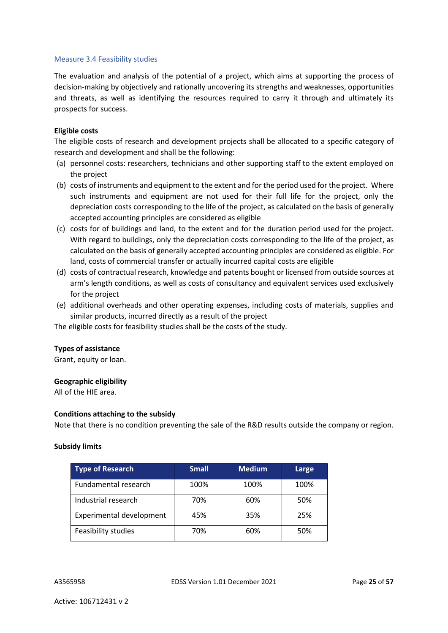#### <span id="page-24-0"></span>Measure 3.4 Feasibility studies

The evaluation and analysis of the potential of a project, which aims at supporting the process of decision-making by objectively and rationally uncovering its strengths and weaknesses, opportunities and threats, as well as identifying the resources required to carry it through and ultimately its prospects for success.

## **Eligible costs**

The eligible costs of research and development projects shall be allocated to a specific category of research and development and shall be the following:

- (a) personnel costs: researchers, technicians and other supporting staff to the extent employed on the project
- (b) costs of instruments and equipment to the extent and for the period used for the project. Where such instruments and equipment are not used for their full life for the project, only the depreciation costs corresponding to the life of the project, as calculated on the basis of generally accepted accounting principles are considered as eligible
- (c) costs for of buildings and land, to the extent and for the duration period used for the project. With regard to buildings, only the depreciation costs corresponding to the life of the project, as calculated on the basis of generally accepted accounting principles are considered as eligible. For land, costs of commercial transfer or actually incurred capital costs are eligible
- (d) costs of contractual research, knowledge and patents bought or licensed from outside sources at arm's length conditions, as well as costs of consultancy and equivalent services used exclusively for the project
- (e) additional overheads and other operating expenses, including costs of materials, supplies and similar products, incurred directly as a result of the project

The eligible costs for feasibility studies shall be the costs of the study.

## **Types of assistance**

Grant, equity or loan.

#### **Geographic eligibility**

All of the HIE area.

## **Conditions attaching to the subsidy**

Note that there is no condition preventing the sale of the R&D results outside the company or region.

#### **Subsidy limits**

| Type of Research         | <b>Small</b> | <b>Medium</b> | Large |
|--------------------------|--------------|---------------|-------|
| Fundamental research     | 100%         | 100%          | 100%  |
| Industrial research      | 70%          | 60%           | 50%   |
| Experimental development | 45%          | 35%           | 25%   |
| Feasibility studies      | 70%          | 60%           | 50%   |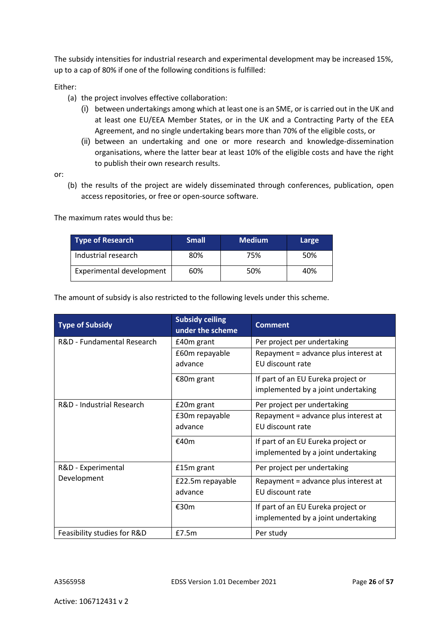The subsidy intensities for industrial research and experimental development may be increased 15%, up to a cap of 80% if one of the following conditions is fulfilled:

Either:

- (a) the project involves effective collaboration:
	- (i) between undertakings among which at least one is an SME, or is carried out in the UK and at least one EU/EEA Member States, or in the UK and a Contracting Party of the EEA Agreement, and no single undertaking bears more than 70% of the eligible costs, or
	- (ii) between an undertaking and one or more research and knowledge-dissemination organisations, where the latter bear at least 10% of the eligible costs and have the right to publish their own research results.

or:

(b) the results of the project are widely disseminated through conferences, publication, open access repositories, or free or open-source software.

The maximum rates would thus be:

| Type of Research         | <b>Small</b> | <b>Medium</b> | Large |
|--------------------------|--------------|---------------|-------|
| Industrial research      | 80%          | 75%           | 50%   |
| Experimental development | 60%          | 50%           | 40%   |

The amount of subsidy is also restricted to the following levels under this scheme.

| <b>Type of Subsidy</b>      | <b>Subsidy ceiling</b><br>under the scheme | <b>Comment</b>                       |
|-----------------------------|--------------------------------------------|--------------------------------------|
| R&D - Fundamental Research  | £40m grant                                 | Per project per undertaking          |
|                             | £60m repayable                             | Repayment = advance plus interest at |
|                             | advance                                    | EU discount rate                     |
|                             | €80m grant                                 | If part of an EU Eureka project or   |
|                             |                                            | implemented by a joint undertaking   |
| R&D - Industrial Research   | £20m grant                                 | Per project per undertaking          |
|                             | £30m repayable                             | Repayment = advance plus interest at |
|                             | advance                                    | EU discount rate                     |
|                             | €40m                                       | If part of an EU Eureka project or   |
|                             |                                            | implemented by a joint undertaking   |
| R&D - Experimental          | £15m grant                                 | Per project per undertaking          |
| Development                 | £22.5m repayable                           | Repayment = advance plus interest at |
|                             | advance                                    | EU discount rate                     |
|                             | €30m                                       | If part of an EU Eureka project or   |
|                             |                                            | implemented by a joint undertaking   |
| Feasibility studies for R&D | £7.5m                                      | Per study                            |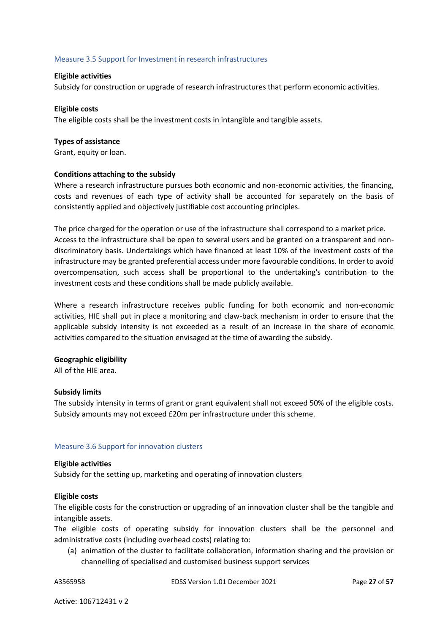#### <span id="page-26-0"></span>Measure 3.5 Support for Investment in research infrastructures

#### **Eligible activities**

Subsidy for construction or upgrade of research infrastructures that perform economic activities.

#### **Eligible costs**

The eligible costs shall be the investment costs in intangible and tangible assets.

#### **Types of assistance**

Grant, equity or loan.

#### **Conditions attaching to the subsidy**

Where a research infrastructure pursues both economic and non-economic activities, the financing, costs and revenues of each type of activity shall be accounted for separately on the basis of consistently applied and objectively justifiable cost accounting principles.

The price charged for the operation or use of the infrastructure shall correspond to a market price. Access to the infrastructure shall be open to several users and be granted on a transparent and nondiscriminatory basis. Undertakings which have financed at least 10% of the investment costs of the infrastructure may be granted preferential access under more favourable conditions. In order to avoid overcompensation, such access shall be proportional to the undertaking's contribution to the investment costs and these conditions shall be made publicly available.

Where a research infrastructure receives public funding for both economic and non-economic activities, HIE shall put in place a monitoring and claw-back mechanism in order to ensure that the applicable subsidy intensity is not exceeded as a result of an increase in the share of economic activities compared to the situation envisaged at the time of awarding the subsidy.

## **Geographic eligibility**

All of the HIE area.

#### **Subsidy limits**

The subsidy intensity in terms of grant or grant equivalent shall not exceed 50% of the eligible costs. Subsidy amounts may not exceed £20m per infrastructure under this scheme.

#### <span id="page-26-1"></span>Measure 3.6 Support for innovation clusters

#### **Eligible activities**

Subsidy for the setting up, marketing and operating of innovation clusters

#### **Eligible costs**

The eligible costs for the construction or upgrading of an innovation cluster shall be the tangible and intangible assets.

The eligible costs of operating subsidy for innovation clusters shall be the personnel and administrative costs (including overhead costs) relating to:

(a) animation of the cluster to facilitate collaboration, information sharing and the provision or channelling of specialised and customised business support services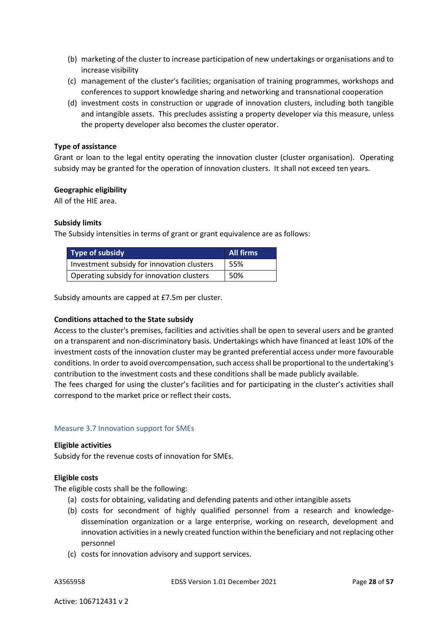- (b) marketing of the cluster to increase participation of new undertakings or organisations and to increase visibility
- (c) management of the cluster's facilities; organisation of training programmes, workshops and conferences to support knowledge sharing and networking and transnational cooperation
- (d) investment costs in construction or upgrade of innovation clusters, including both tangible and intangible assets. This precludes assisting a property developer via this measure, unless the property developer also becomes the cluster operator.

### **Type of assistance**

Grant or loan to the legal entity operating the innovation cluster (cluster organisation). Operating subsidy may be granted for the operation of innovation clusters. It shall not exceed ten years.

#### **Geographic eligibility**

All of the HIE area.

#### **Subsidy limits**

The Subsidy intensities in terms of grant or grant equivalence are as follows:

| <b>Type of subsidy</b>                     | All firms |
|--------------------------------------------|-----------|
| Investment subsidy for innovation clusters | 55%       |
| Operating subsidy for innovation clusters  | 50%       |

Subsidy amounts are capped at £7.5m per cluster.

### **Conditions attached to the State subsidy**

Access to the cluster's premises, facilities and activities shall be open to several users and be granted on a transparent and non-discriminatory basis. Undertakings which have financed at least 10% of the investment costs of the innovation cluster may be granted preferential access under more favourable conditions. In order to avoid overcompensation, such access shall be proportional to the undertaking's contribution to the investment costs and these conditions shall be made publicly available. The fees charged for using the cluster's facilities and for participating in the cluster's activities shall correspond to the market price or reflect their costs.

#### <span id="page-27-0"></span>Measure 3.7 Innovation support for SMEs

#### **Eligible activities**

Subsidy for the revenue costs of innovation for SMEs.

#### **Eligible costs**

The eligible costs shall be the following:

- (a) costs for obtaining, validating and defending patents and other intangible assets
- (b) costs for secondment of highly qualified personnel from a research and knowledgedissemination organization or a large enterprise, working on research, development and innovation activities in a newly created function within the beneficiary and not replacing other personnel
- (c) costs for innovation advisory and support services.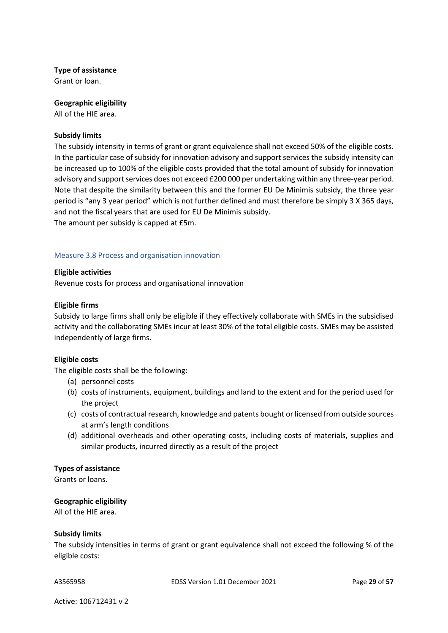#### **Type of assistance**

Grant or loan.

## **Geographic eligibility**

All of the HIE area.

## **Subsidy limits**

The subsidy intensity in terms of grant or grant equivalence shall not exceed 50% of the eligible costs. In the particular case of subsidy for innovation advisory and support services the subsidy intensity can be increased up to 100% of the eligible costs provided that the total amount of subsidy for innovation advisory and support services does not exceed £200 000 per undertaking within any three-year period. Note that despite the similarity between this and the former EU De Minimis subsidy, the three year period is "any 3 year period" which is not further defined and must therefore be simply 3 X 365 days, and not the fiscal years that are used for EU De Minimis subsidy. The amount per subsidy is capped at £5m.

## <span id="page-28-0"></span>Measure 3.8 Process and organisation innovation

## **Eligible activities**

Revenue costs for process and organisational innovation

## **Eligible firms**

Subsidy to large firms shall only be eligible if they effectively collaborate with SMEs in the subsidised activity and the collaborating SMEs incur at least 30% of the total eligible costs. SMEs may be assisted independently of large firms.

## **Eligible costs**

The eligible costs shall be the following:

- (a) personnel costs
- (b) costs of instruments, equipment, buildings and land to the extent and for the period used for the project
- (c) costs of contractual research, knowledge and patents bought or licensed from outside sources at arm's length conditions
- (d) additional overheads and other operating costs, including costs of materials, supplies and similar products, incurred directly as a result of the project

## **Types of assistance**

Grants or loans.

## **Geographic eligibility**

All of the HIE area.

## **Subsidy limits**

The subsidy intensities in terms of grant or grant equivalence shall not exceed the following % of the eligible costs:

A3565958 EDSS Version 1.01 December 2021 Page **29** of **57**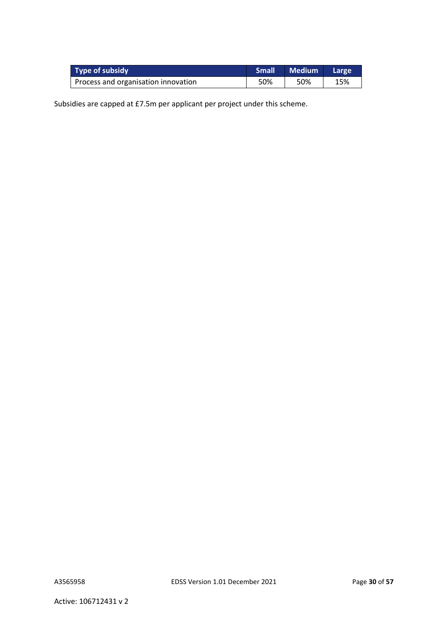| Type of subsidy                     |     | Small Medium Large |     |
|-------------------------------------|-----|--------------------|-----|
| Process and organisation innovation | 50% | 50%                | 15% |

Subsidies are capped at £7.5m per applicant per project under this scheme.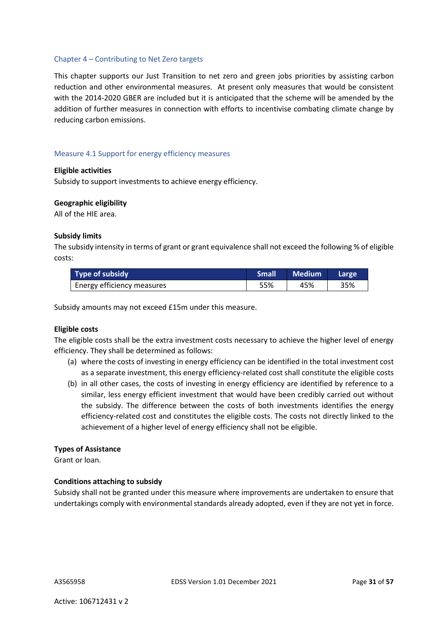#### <span id="page-30-0"></span>Chapter 4 – Contributing to Net Zero targets

This chapter supports our Just Transition to net zero and green jobs priorities by assisting carbon reduction and other environmental measures. At present only measures that would be consistent with the 2014-2020 GBER are included but it is anticipated that the scheme will be amended by the addition of further measures in connection with efforts to incentivise combating climate change by reducing carbon emissions.

## <span id="page-30-1"></span>Measure 4.1 Support for energy efficiency measures

#### **Eligible activities**

Subsidy to support investments to achieve energy efficiency.

#### **Geographic eligibility**

All of the HIE area.

#### **Subsidy limits**

The subsidy intensity in terms of grant or grant equivalence shall not exceed the following % of eligible costs:

| Type of subsidy            | <b>Small</b> | Medium | Large |
|----------------------------|--------------|--------|-------|
| Energy efficiency measures | 55%          | 45%    | 35%   |

Subsidy amounts may not exceed £15m under this measure.

## **Eligible costs**

The eligible costs shall be the extra investment costs necessary to achieve the higher level of energy efficiency. They shall be determined as follows:

- (a) where the costs of investing in energy efficiency can be identified in the total investment cost as a separate investment, this energy efficiency-related cost shall constitute the eligible costs
- (b) in all other cases, the costs of investing in energy efficiency are identified by reference to a similar, less energy efficient investment that would have been credibly carried out without the subsidy. The difference between the costs of both investments identifies the energy efficiency-related cost and constitutes the eligible costs. The costs not directly linked to the achievement of a higher level of energy efficiency shall not be eligible.

#### **Types of Assistance**

Grant or loan.

## **Conditions attaching to subsidy**

Subsidy shall not be granted under this measure where improvements are undertaken to ensure that undertakings comply with environmental standards already adopted, even if they are not yet in force.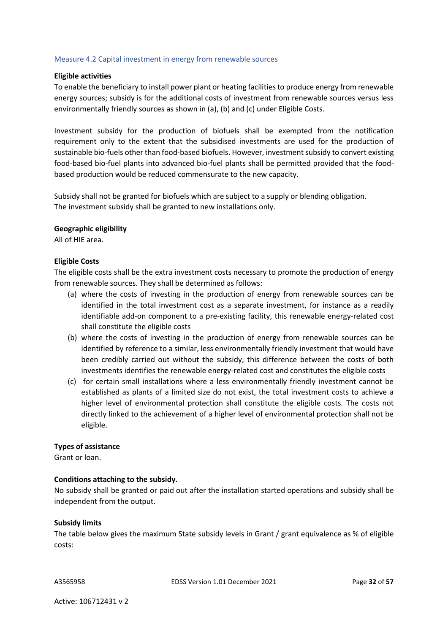#### <span id="page-31-0"></span>Measure 4.2 Capital investment in energy from renewable sources

#### **Eligible activities**

To enable the beneficiary to install power plant or heating facilities to produce energy from renewable energy sources; subsidy is for the additional costs of investment from renewable sources versus less environmentally friendly sources as shown in (a), (b) and (c) under Eligible Costs.

Investment subsidy for the production of biofuels shall be exempted from the notification requirement only to the extent that the subsidised investments are used for the production of sustainable bio-fuels other than food-based biofuels. However, investment subsidy to convert existing food-based bio-fuel plants into advanced bio-fuel plants shall be permitted provided that the foodbased production would be reduced commensurate to the new capacity.

Subsidy shall not be granted for biofuels which are subject to a supply or blending obligation. The investment subsidy shall be granted to new installations only.

#### **Geographic eligibility**

All of HIE area.

#### **Eligible Costs**

The eligible costs shall be the extra investment costs necessary to promote the production of energy from renewable sources. They shall be determined as follows:

- (a) where the costs of investing in the production of energy from renewable sources can be identified in the total investment cost as a separate investment, for instance as a readily identifiable add-on component to a pre-existing facility, this renewable energy-related cost shall constitute the eligible costs
- (b) where the costs of investing in the production of energy from renewable sources can be identified by reference to a similar, less environmentally friendly investment that would have been credibly carried out without the subsidy, this difference between the costs of both investments identifies the renewable energy-related cost and constitutes the eligible costs
- (c) for certain small installations where a less environmentally friendly investment cannot be established as plants of a limited size do not exist, the total investment costs to achieve a higher level of environmental protection shall constitute the eligible costs. The costs not directly linked to the achievement of a higher level of environmental protection shall not be eligible.

#### **Types of assistance**

Grant or loan.

#### **Conditions attaching to the subsidy.**

No subsidy shall be granted or paid out after the installation started operations and subsidy shall be independent from the output.

#### **Subsidy limits**

The table below gives the maximum State subsidy levels in Grant / grant equivalence as % of eligible costs:

A3565958 EDSS Version 1.01 December 2021 Page **32** of **57**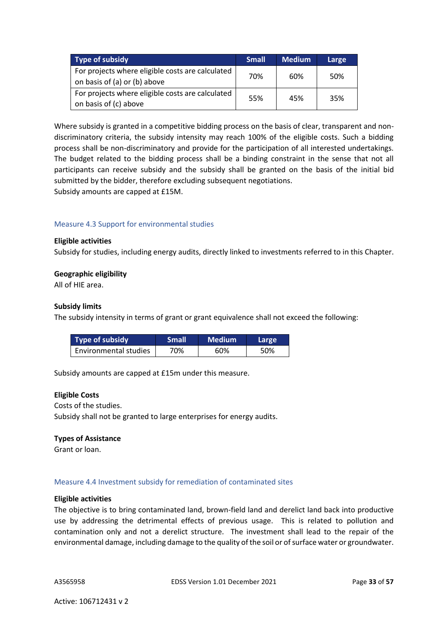| <b>Type of subsidy</b>                                                           | <b>Small</b> | <b>Medium</b> | Large |
|----------------------------------------------------------------------------------|--------------|---------------|-------|
| For projects where eligible costs are calculated<br>on basis of (a) or (b) above | 70%          | 60%           | 50%   |
| For projects where eligible costs are calculated<br>on basis of (c) above        | 55%          | 45%           | 35%   |

Where subsidy is granted in a competitive bidding process on the basis of clear, transparent and nondiscriminatory criteria, the subsidy intensity may reach 100% of the eligible costs. Such a bidding process shall be non-discriminatory and provide for the participation of all interested undertakings. The budget related to the bidding process shall be a binding constraint in the sense that not all participants can receive subsidy and the subsidy shall be granted on the basis of the initial bid submitted by the bidder, therefore excluding subsequent negotiations. Subsidy amounts are capped at £15M.

## <span id="page-32-0"></span>Measure 4.3 Support for environmental studies

#### **Eligible activities**

Subsidy for studies, including energy audits, directly linked to investments referred to in this Chapter.

#### **Geographic eligibility**

All of HIE area.

#### **Subsidy limits**

The subsidy intensity in terms of grant or grant equivalence shall not exceed the following:

| <b>Type of subsidy</b> | Small | <b>Medium</b> | Large |
|------------------------|-------|---------------|-------|
| Environmental studies  | 70%   | 60%           | 50%   |

Subsidy amounts are capped at £15m under this measure.

#### **Eligible Costs**

Costs of the studies. Subsidy shall not be granted to large enterprises for energy audits.

#### **Types of Assistance**

Grant or loan.

#### <span id="page-32-1"></span>Measure 4.4 Investment subsidy for remediation of contaminated sites

#### **Eligible activities**

The objective is to bring contaminated land, brown-field land and derelict land back into productive use by addressing the detrimental effects of previous usage. This is related to pollution and contamination only and not a derelict structure. The investment shall lead to the repair of the environmental damage, including damage to the quality of the soil or of surface water or groundwater.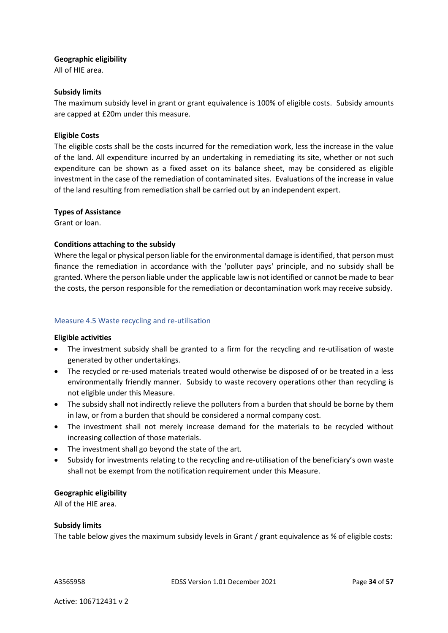### **Geographic eligibility**

All of HIE area.

## **Subsidy limits**

The maximum subsidy level in grant or grant equivalence is 100% of eligible costs. Subsidy amounts are capped at £20m under this measure.

## **Eligible Costs**

The eligible costs shall be the costs incurred for the remediation work, less the increase in the value of the land. All expenditure incurred by an undertaking in remediating its site, whether or not such expenditure can be shown as a fixed asset on its balance sheet, may be considered as eligible investment in the case of the remediation of contaminated sites. Evaluations of the increase in value of the land resulting from remediation shall be carried out by an independent expert.

## **Types of Assistance**

Grant or loan.

## **Conditions attaching to the subsidy**

Where the legal or physical person liable for the environmental damage is identified, that person must finance the remediation in accordance with the 'polluter pays' principle, and no subsidy shall be granted. Where the person liable under the applicable law is not identified or cannot be made to bear the costs, the person responsible for the remediation or decontamination work may receive subsidy.

## <span id="page-33-0"></span>Measure 4.5 Waste recycling and re-utilisation

## **Eligible activities**

- The investment subsidy shall be granted to a firm for the recycling and re-utilisation of waste generated by other undertakings.
- The recycled or re-used materials treated would otherwise be disposed of or be treated in a less environmentally friendly manner. Subsidy to waste recovery operations other than recycling is not eligible under this Measure.
- The subsidy shall not indirectly relieve the polluters from a burden that should be borne by them in law, or from a burden that should be considered a normal company cost.
- The investment shall not merely increase demand for the materials to be recycled without increasing collection of those materials.
- The investment shall go beyond the state of the art.
- Subsidy for investments relating to the recycling and re-utilisation of the beneficiary's own waste shall not be exempt from the notification requirement under this Measure.

## **Geographic eligibility**

All of the HIE area.

## **Subsidy limits**

The table below gives the maximum subsidy levels in Grant / grant equivalence as % of eligible costs: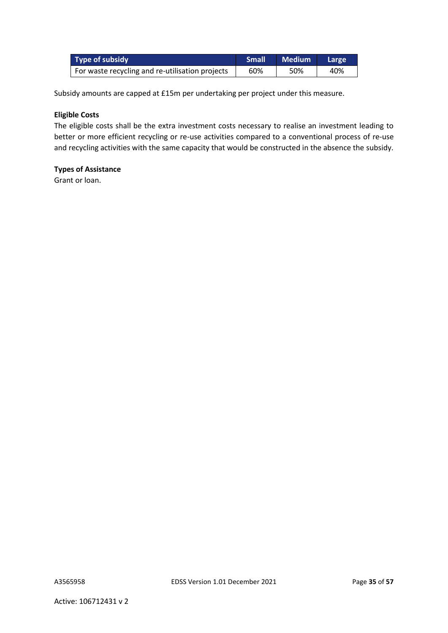| Type of subsidy                                 | <b>Small</b> | <b>Medium</b> | Large |
|-------------------------------------------------|--------------|---------------|-------|
| For waste recycling and re-utilisation projects | 60%          | 50%           | 40%   |

Subsidy amounts are capped at £15m per undertaking per project under this measure.

## **Eligible Costs**

The eligible costs shall be the extra investment costs necessary to realise an investment leading to better or more efficient recycling or re-use activities compared to a conventional process of re-use and recycling activities with the same capacity that would be constructed in the absence the subsidy.

## **Types of Assistance**

Grant or loan.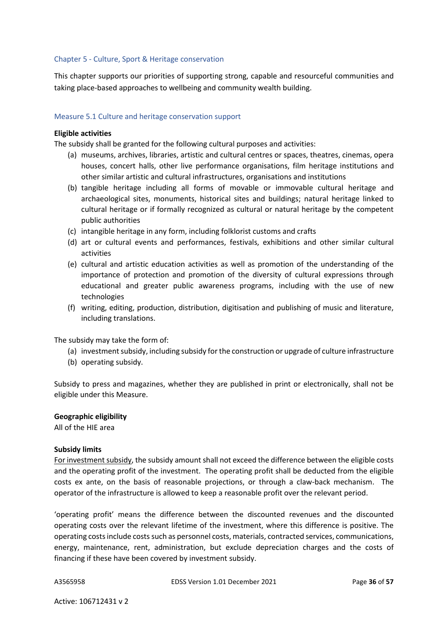## <span id="page-35-0"></span>Chapter 5 - Culture, Sport & Heritage conservation

This chapter supports our priorities of supporting strong, capable and resourceful communities and taking place-based approaches to wellbeing and community wealth building.

## <span id="page-35-1"></span>Measure 5.1 Culture and heritage conservation support

## **Eligible activities**

The subsidy shall be granted for the following cultural purposes and activities:

- (a) museums, archives, libraries, artistic and cultural centres or spaces, theatres, cinemas, opera houses, concert halls, other live performance organisations, film heritage institutions and other similar artistic and cultural infrastructures, organisations and institutions
- (b) tangible heritage including all forms of movable or immovable cultural heritage and archaeological sites, monuments, historical sites and buildings; natural heritage linked to cultural heritage or if formally recognized as cultural or natural heritage by the competent public authorities
- (c) intangible heritage in any form, including folklorist customs and crafts
- (d) art or cultural events and performances, festivals, exhibitions and other similar cultural activities
- (e) cultural and artistic education activities as well as promotion of the understanding of the importance of protection and promotion of the diversity of cultural expressions through educational and greater public awareness programs, including with the use of new technologies
- (f) writing, editing, production, distribution, digitisation and publishing of music and literature, including translations.

The subsidy may take the form of:

- (a) investment subsidy, including subsidy for the construction or upgrade of culture infrastructure
- (b) operating subsidy.

Subsidy to press and magazines, whether they are published in print or electronically, shall not be eligible under this Measure.

**Geographic eligibility**

All of the HIE area

#### **Subsidy limits**

For investment subsidy, the subsidy amount shall not exceed the difference between the eligible costs and the operating profit of the investment. The operating profit shall be deducted from the eligible costs ex ante, on the basis of reasonable projections, or through a claw-back mechanism. The operator of the infrastructure is allowed to keep a reasonable profit over the relevant period.

'operating profit' means the difference between the discounted revenues and the discounted operating costs over the relevant lifetime of the investment, where this difference is positive. The operating costs include costs such as personnel costs, materials, contracted services, communications, energy, maintenance, rent, administration, but exclude depreciation charges and the costs of financing if these have been covered by investment subsidy.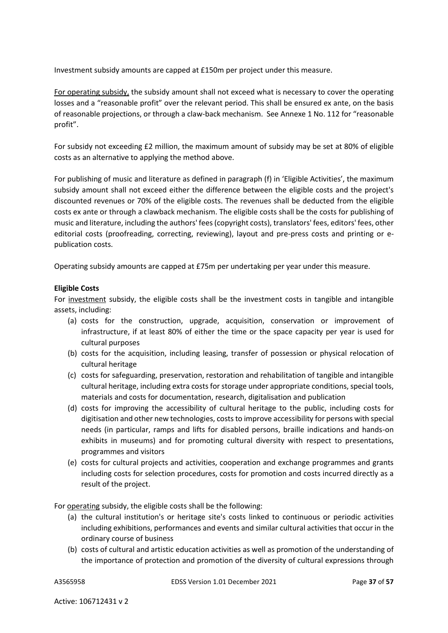Investment subsidy amounts are capped at £150m per project under this measure.

For operating subsidy, the subsidy amount shall not exceed what is necessary to cover the operating losses and a "reasonable profit" over the relevant period. This shall be ensured ex ante, on the basis of reasonable projections, or through a claw-back mechanism. See Annexe 1 No. 112 for "reasonable profit".

For subsidy not exceeding £2 million, the maximum amount of subsidy may be set at 80% of eligible costs as an alternative to applying the method above.

For publishing of music and literature as defined in paragraph (f) in 'Eligible Activities', the maximum subsidy amount shall not exceed either the difference between the eligible costs and the project's discounted revenues or 70% of the eligible costs. The revenues shall be deducted from the eligible costs ex ante or through a clawback mechanism. The eligible costs shall be the costs for publishing of music and literature, including the authors' fees (copyright costs), translators' fees, editors' fees, other editorial costs (proofreading, correcting, reviewing), layout and pre-press costs and printing or epublication costs.

Operating subsidy amounts are capped at £75m per undertaking per year under this measure.

## **Eligible Costs**

For investment subsidy, the eligible costs shall be the investment costs in tangible and intangible assets, including:

- (a) costs for the construction, upgrade, acquisition, conservation or improvement of infrastructure, if at least 80% of either the time or the space capacity per year is used for cultural purposes
- (b) costs for the acquisition, including leasing, transfer of possession or physical relocation of cultural heritage
- (c) costs for safeguarding, preservation, restoration and rehabilitation of tangible and intangible cultural heritage, including extra costs for storage under appropriate conditions, special tools, materials and costs for documentation, research, digitalisation and publication
- (d) costs for improving the accessibility of cultural heritage to the public, including costs for digitisation and other new technologies, costs to improve accessibility for persons with special needs (in particular, ramps and lifts for disabled persons, braille indications and hands-on exhibits in museums) and for promoting cultural diversity with respect to presentations, programmes and visitors
- (e) costs for cultural projects and activities, cooperation and exchange programmes and grants including costs for selection procedures, costs for promotion and costs incurred directly as a result of the project.

For operating subsidy, the eligible costs shall be the following:

- (a) the cultural institution's or heritage site's costs linked to continuous or periodic activities including exhibitions, performances and events and similar cultural activities that occur in the ordinary course of business
- (b) costs of cultural and artistic education activities as well as promotion of the understanding of the importance of protection and promotion of the diversity of cultural expressions through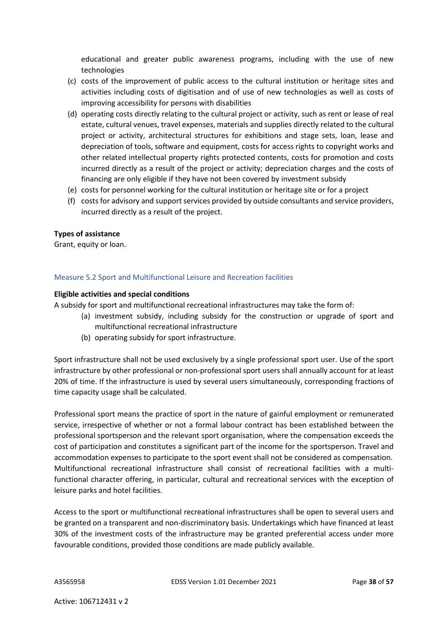educational and greater public awareness programs, including with the use of new technologies

- (c) costs of the improvement of public access to the cultural institution or heritage sites and activities including costs of digitisation and of use of new technologies as well as costs of improving accessibility for persons with disabilities
- (d) operating costs directly relating to the cultural project or activity, such as rent or lease of real estate, cultural venues, travel expenses, materials and supplies directly related to the cultural project or activity, architectural structures for exhibitions and stage sets, loan, lease and depreciation of tools, software and equipment, costs for access rights to copyright works and other related intellectual property rights protected contents, costs for promotion and costs incurred directly as a result of the project or activity; depreciation charges and the costs of financing are only eligible if they have not been covered by investment subsidy
- (e) costs for personnel working for the cultural institution or heritage site or for a project
- (f) costs for advisory and support services provided by outside consultants and service providers, incurred directly as a result of the project.

## **Types of assistance**

Grant, equity or loan.

## <span id="page-37-0"></span>Measure 5.2 Sport and Multifunctional Leisure and Recreation facilities

## **Eligible activities and special conditions**

A subsidy for sport and multifunctional recreational infrastructures may take the form of:

- (a) investment subsidy, including subsidy for the construction or upgrade of sport and multifunctional recreational infrastructure
- (b) operating subsidy for sport infrastructure.

Sport infrastructure shall not be used exclusively by a single professional sport user. Use of the sport infrastructure by other professional or non-professional sport users shall annually account for at least 20% of time. If the infrastructure is used by several users simultaneously, corresponding fractions of time capacity usage shall be calculated.

Professional sport means the practice of sport in the nature of gainful employment or remunerated service, irrespective of whether or not a formal labour contract has been established between the professional sportsperson and the relevant sport organisation, where the compensation exceeds the cost of participation and constitutes a significant part of the income for the sportsperson. Travel and accommodation expenses to participate to the sport event shall not be considered as compensation. Multifunctional recreational infrastructure shall consist of recreational facilities with a multifunctional character offering, in particular, cultural and recreational services with the exception of leisure parks and hotel facilities.

Access to the sport or multifunctional recreational infrastructures shall be open to several users and be granted on a transparent and non-discriminatory basis. Undertakings which have financed at least 30% of the investment costs of the infrastructure may be granted preferential access under more favourable conditions, provided those conditions are made publicly available.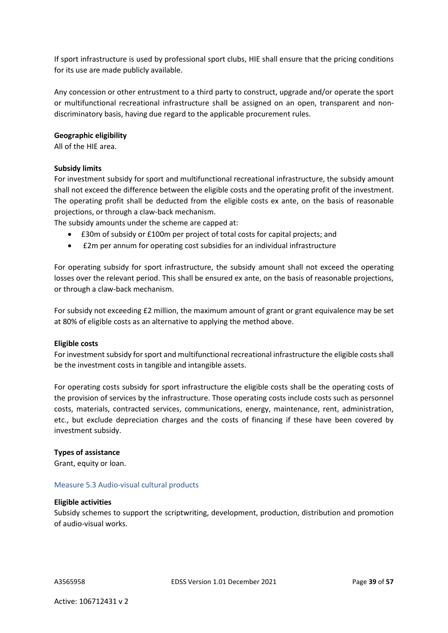If sport infrastructure is used by professional sport clubs, HIE shall ensure that the pricing conditions for its use are made publicly available.

Any concession or other entrustment to a third party to construct, upgrade and/or operate the sport or multifunctional recreational infrastructure shall be assigned on an open, transparent and nondiscriminatory basis, having due regard to the applicable procurement rules.

### **Geographic eligibility**

All of the HIE area.

#### **Subsidy limits**

For investment subsidy for sport and multifunctional recreational infrastructure, the subsidy amount shall not exceed the difference between the eligible costs and the operating profit of the investment. The operating profit shall be deducted from the eligible costs ex ante, on the basis of reasonable projections, or through a claw-back mechanism.

The subsidy amounts under the scheme are capped at:

- £30m of subsidy or £100m per project of total costs for capital projects; and
- £2m per annum for operating cost subsidies for an individual infrastructure

For operating subsidy for sport infrastructure, the subsidy amount shall not exceed the operating losses over the relevant period. This shall be ensured ex ante, on the basis of reasonable projections, or through a claw-back mechanism.

For subsidy not exceeding £2 million, the maximum amount of grant or grant equivalence may be set at 80% of eligible costs as an alternative to applying the method above.

#### **Eligible costs**

For investment subsidy for sport and multifunctional recreational infrastructure the eligible costs shall be the investment costs in tangible and intangible assets.

For operating costs subsidy for sport infrastructure the eligible costs shall be the operating costs of the provision of services by the infrastructure. Those operating costs include costs such as personnel costs, materials, contracted services, communications, energy, maintenance, rent, administration, etc., but exclude depreciation charges and the costs of financing if these have been covered by investment subsidy.

## **Types of assistance**

Grant, equity or loan.

## <span id="page-38-0"></span>Measure 5.3 Audio-visual cultural products

#### **Eligible activities**

Subsidy schemes to support the scriptwriting, development, production, distribution and promotion of audio-visual works.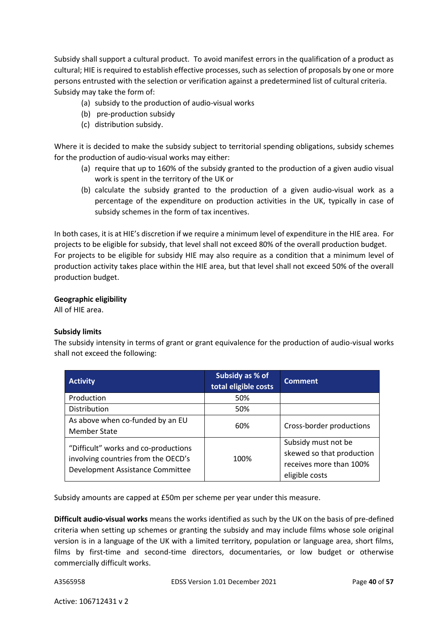Subsidy shall support a cultural product. To avoid manifest errors in the qualification of a product as cultural; HIE is required to establish effective processes, such as selection of proposals by one or more persons entrusted with the selection or verification against a predetermined list of cultural criteria. Subsidy may take the form of:

- (a) subsidy to the production of audio-visual works
- (b) pre-production subsidy
- (c) distribution subsidy.

Where it is decided to make the subsidy subject to territorial spending obligations, subsidy schemes for the production of audio-visual works may either:

- (a) require that up to 160% of the subsidy granted to the production of a given audio visual work is spent in the territory of the UK or
- (b) calculate the subsidy granted to the production of a given audio-visual work as a percentage of the expenditure on production activities in the UK, typically in case of subsidy schemes in the form of tax incentives.

In both cases, it is at HIE's discretion if we require a minimum level of expenditure in the HIE area. For projects to be eligible for subsidy, that level shall not exceed 80% of the overall production budget. For projects to be eligible for subsidy HIE may also require as a condition that a minimum level of production activity takes place within the HIE area, but that level shall not exceed 50% of the overall production budget.

## **Geographic eligibility**

All of HIE area.

## **Subsidy limits**

The subsidy intensity in terms of grant or grant equivalence for the production of audio-visual works shall not exceed the following:

| <b>Activity</b>                                                                                                 | Subsidy as % of<br>total eligible costs | <b>Comment</b>                                                                                |
|-----------------------------------------------------------------------------------------------------------------|-----------------------------------------|-----------------------------------------------------------------------------------------------|
| Production                                                                                                      | 50%                                     |                                                                                               |
| Distribution                                                                                                    | 50%                                     |                                                                                               |
| As above when co-funded by an EU<br><b>Member State</b>                                                         | 60%                                     | Cross-border productions                                                                      |
| "Difficult" works and co-productions<br>involving countries from the OECD's<br>Development Assistance Committee | 100%                                    | Subsidy must not be<br>skewed so that production<br>receives more than 100%<br>eligible costs |

Subsidy amounts are capped at £50m per scheme per year under this measure.

**Difficult audio-visual works** means the works identified as such by the UK on the basis of pre-defined criteria when setting up schemes or granting the subsidy and may include films whose sole original version is in a language of the UK with a limited territory, population or language area, short films, films by first-time and second-time directors, documentaries, or low budget or otherwise commercially difficult works.

A3565958 EDSS Version 1.01 December 2021 Page **40** of **57**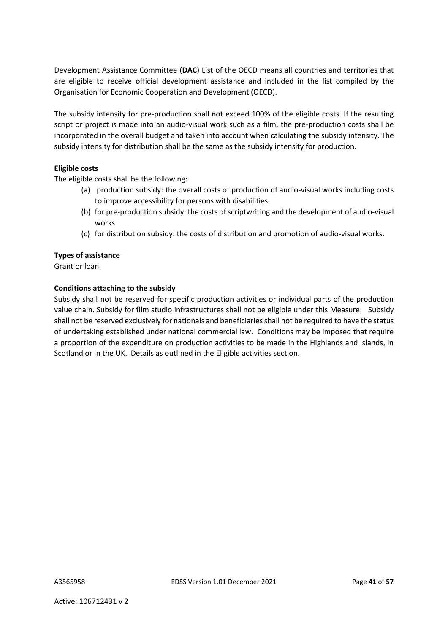Development Assistance Committee (**DAC**) List of the OECD means all countries and territories that are eligible to receive official development assistance and included in the list compiled by the Organisation for Economic Cooperation and Development (OECD).

The subsidy intensity for pre-production shall not exceed 100% of the eligible costs. If the resulting script or project is made into an audio-visual work such as a film, the pre-production costs shall be incorporated in the overall budget and taken into account when calculating the subsidy intensity. The subsidy intensity for distribution shall be the same as the subsidy intensity for production.

## **Eligible costs**

The eligible costs shall be the following:

- (a) production subsidy: the overall costs of production of audio-visual works including costs to improve accessibility for persons with disabilities
- (b) for pre-production subsidy: the costs of scriptwriting and the development of audio-visual works
- (c) for distribution subsidy: the costs of distribution and promotion of audio-visual works.

## **Types of assistance**

Grant or loan.

## **Conditions attaching to the subsidy**

Subsidy shall not be reserved for specific production activities or individual parts of the production value chain. Subsidy for film studio infrastructures shall not be eligible under this Measure. Subsidy shall not be reserved exclusively for nationals and beneficiaries shall not be required to have the status of undertaking established under national commercial law. Conditions may be imposed that require a proportion of the expenditure on production activities to be made in the Highlands and Islands, in Scotland or in the UK. Details as outlined in the Eligible activities section.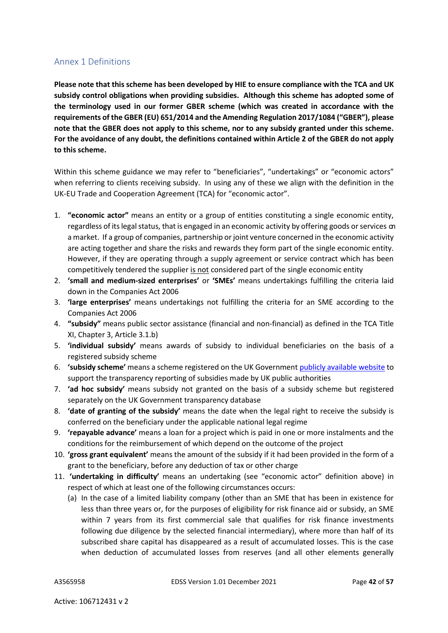## <span id="page-41-0"></span>Annex 1 Definitions

**Please note that this scheme has been developed by HIE to ensure compliance with the TCA and UK subsidy control obligations when providing subsidies. Although this scheme has adopted some of the terminology used in our former GBER scheme (which was created in accordance with the requirements of the GBER (EU) 651/2014 and the Amending Regulation 2017/1084 ("GBER"), please note that the GBER does not apply to this scheme, nor to any subsidy granted under this scheme. For the avoidance of any doubt, the definitions contained within Article 2 of the GBER do not apply to this scheme.**

Within this scheme guidance we may refer to "beneficiaries", "undertakings" or "economic actors" when referring to clients receiving subsidy. In using any of these we align with the definition in the UK-EU Trade and Cooperation Agreement (TCA) for "economic actor".

- 1. **"economic actor"** means an entity or a group of entities constituting a single economic entity, regardless of its legal status, that is engaged in an economic activity by offering goods or services on a market. If a group of companies, partnership or joint venture concerned in the economic activity are acting together and share the risks and rewards they form part of the single economic entity. However, if they are operating through a supply agreement or service contract which has been competitively tendered the supplier is not considered part of the single economic entity
- 2. **'small and medium-sized enterprises'** or **'SMEs'** means undertakings fulfilling the criteria laid down in the Companies Act 2006
- 3. **'large enterprises'** means undertakings not fulfilling the criteria for an SME according to the Companies Act 2006
- 4. **"subsidy"** means public sector assistance (financial and non-financial) as defined in the TCA Title XI, Chapter 3, Article 3.1.b)
- 5. **'individual subsidy'** means awards of subsidy to individual beneficiaries on the basis of a registered subsidy scheme
- 6. **'subsidy scheme'** means a scheme registered on the UK Government [publicly available website](https://searchforuksubsidies.beis.gov.uk/searchresults) to support the transparency reporting of subsidies made by UK public authorities
- 7. **'ad hoc subsidy'** means subsidy not granted on the basis of a subsidy scheme but registered separately on the UK Government transparency database
- 8. **'date of granting of the subsidy'** means the date when the legal right to receive the subsidy is conferred on the beneficiary under the applicable national legal regime
- 9. **'repayable advance'** means a loan for a project which is paid in one or more instalments and the conditions for the reimbursement of which depend on the outcome of the project
- 10. **'gross grant equivalent'** means the amount of the subsidy if it had been provided in the form of a grant to the beneficiary, before any deduction of tax or other charge
- 11. **'undertaking in difficulty'** means an undertaking (see "economic actor" definition above) in respect of which at least one of the following circumstances occurs:
	- (a) In the case of a limited liability company (other than an SME that has been in existence for less than three years or, for the purposes of eligibility for risk finance aid or subsidy, an SME within 7 years from its first commercial sale that qualifies for risk finance investments following due diligence by the selected financial intermediary), where more than half of its subscribed share capital has disappeared as a result of accumulated losses. This is the case when deduction of accumulated losses from reserves (and all other elements generally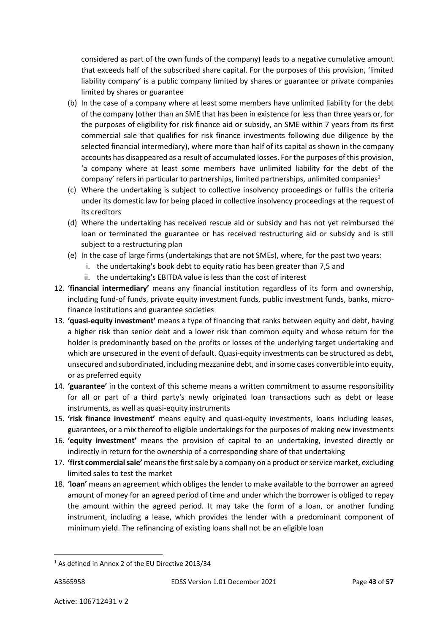considered as part of the own funds of the company) leads to a negative cumulative amount that exceeds half of the subscribed share capital. For the purposes of this provision, 'limited liability company' is a public company limited by shares or guarantee or private companies limited by shares or guarantee

- (b) In the case of a company where at least some members have unlimited liability for the debt of the company (other than an SME that has been in existence for less than three years or, for the purposes of eligibility for risk finance aid or subsidy, an SME within 7 years from its first commercial sale that qualifies for risk finance investments following due diligence by the selected financial intermediary), where more than half of its capital as shown in the company accounts has disappeared as a result of accumulated losses. For the purposes of this provision, 'a company where at least some members have unlimited liability for the debt of the company' refers in particular to partnerships, limited partnerships, unlimited companies<sup>1</sup>
- (c) Where the undertaking is subject to collective insolvency proceedings or fulfils the criteria under its domestic law for being placed in collective insolvency proceedings at the request of its creditors
- (d) Where the undertaking has received rescue aid or subsidy and has not yet reimbursed the loan or terminated the guarantee or has received restructuring aid or subsidy and is still subject to a restructuring plan
- (e) In the case of large firms (undertakings that are not SMEs), where, for the past two years:
	- i. the undertaking's book debt to equity ratio has been greater than 7,5 and
	- ii. the undertaking's EBITDA value is less than the cost of interest
- 12. **'financial intermediary'** means any financial institution regardless of its form and ownership, including fund-of funds, private equity investment funds, public investment funds, banks, microfinance institutions and guarantee societies
- 13. **'quasi-equity investment'** means a type of financing that ranks between equity and debt, having a higher risk than senior debt and a lower risk than common equity and whose return for the holder is predominantly based on the profits or losses of the underlying target undertaking and which are unsecured in the event of default. Quasi-equity investments can be structured as debt, unsecured and subordinated, including mezzanine debt, and in some cases convertible into equity, or as preferred equity
- 14. **'guarantee'** in the context of this scheme means a written commitment to assume responsibility for all or part of a third party's newly originated loan transactions such as debt or lease instruments, as well as quasi-equity instruments
- 15. **'risk finance investment'** means equity and quasi-equity investments, loans including leases, guarantees, or a mix thereof to eligible undertakings for the purposes of making new investments
- 16. **'equity investment'** means the provision of capital to an undertaking, invested directly or indirectly in return for the ownership of a corresponding share of that undertaking
- 17. **'first commercial sale'** means the first sale by a company on a product or service market, excluding limited sales to test the market
- 18. **'loan'** means an agreement which obliges the lender to make available to the borrower an agreed amount of money for an agreed period of time and under which the borrower is obliged to repay the amount within the agreed period. It may take the form of a loan, or another funding instrument, including a lease, which provides the lender with a predominant component of minimum yield. The refinancing of existing loans shall not be an eligible loan

<sup>&</sup>lt;sup>1</sup> As defined in Annex 2 of the EU Directive 2013/34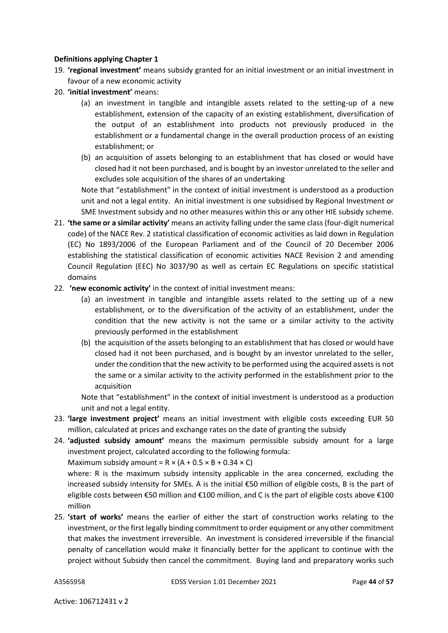## **Definitions applying Chapter 1**

- 19. **'regional investment'** means subsidy granted for an initial investment or an initial investment in favour of a new economic activity
- 20. **'initial investment'** means:
	- (a) an investment in tangible and intangible assets related to the setting-up of a new establishment, extension of the capacity of an existing establishment, diversification of the output of an establishment into products not previously produced in the establishment or a fundamental change in the overall production process of an existing establishment; or
	- (b) an acquisition of assets belonging to an establishment that has closed or would have closed had it not been purchased, and is bought by an investor unrelated to the seller and excludes sole acquisition of the shares of an undertaking

Note that "establishment" in the context of initial investment is understood as a production unit and not a legal entity. An initial investment is one subsidised by Regional Investment or SME Investment subsidy and no other measures within this or any other HIE subsidy scheme.

- 21. **'the same or a similar activity'** means an activity falling under the same class (four-digit numerical code) of the NACE Rev. 2 statistical classification of economic activities as laid down in Regulation (EC) No 1893/2006 of the European Parliament and of the Council of 20 December 2006 establishing the statistical classification of economic activities NACE Revision 2 and amending Council Regulation (EEC) No 3037/90 as well as certain EC Regulations on specific statistical domains
- 22. **'new economic activity'** in the context of initial investment means:
	- (a) an investment in tangible and intangible assets related to the setting up of a new establishment, or to the diversification of the activity of an establishment, under the condition that the new activity is not the same or a similar activity to the activity previously performed in the establishment
	- (b) the acquisition of the assets belonging to an establishment that has closed or would have closed had it not been purchased, and is bought by an investor unrelated to the seller, under the condition that the new activity to be performed using the acquired assets is not the same or a similar activity to the activity performed in the establishment prior to the acquisition

Note that "establishment" in the context of initial investment is understood as a production unit and not a legal entity.

- 23. **'large investment project'** means an initial investment with eligible costs exceeding EUR 50 million, calculated at prices and exchange rates on the date of granting the subsidy
- 24. **'adjusted subsidy amount'** means the maximum permissible subsidy amount for a large investment project, calculated according to the following formula:

Maximum subsidy amount =  $R \times (A + 0.5 \times B + 0.34 \times C)$ 

where: R is the maximum subsidy intensity applicable in the area concerned, excluding the increased subsidy intensity for SMEs. A is the initial €50 million of eligible costs, B is the part of eligible costs between €50 million and €100 million, and C is the part of eligible costs above €100 million

25. **'start of works'** means the earlier of either the start of construction works relating to the investment, or the first legally binding commitment to order equipment or any other commitment that makes the investment irreversible. An investment is considered irreversible if the financial penalty of cancellation would make it financially better for the applicant to continue with the project without Subsidy then cancel the commitment. Buying land and preparatory works such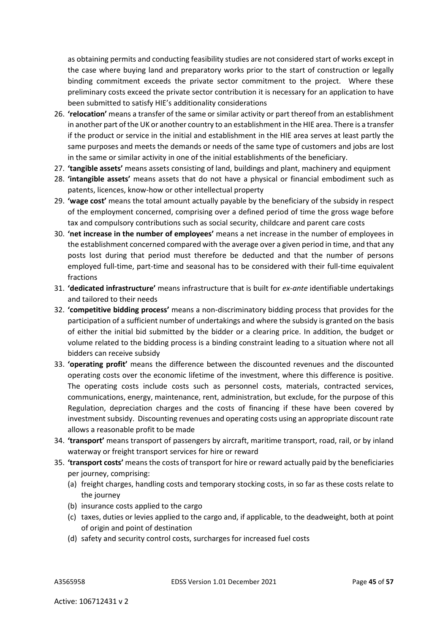as obtaining permits and conducting feasibility studies are not considered start of works except in the case where buying land and preparatory works prior to the start of construction or legally binding commitment exceeds the private sector commitment to the project. Where these preliminary costs exceed the private sector contribution it is necessary for an application to have been submitted to satisfy HIE's additionality considerations

- 26. **'relocation'** means a transfer of the same or similar activity or part thereof from an establishment in another part of the UK or another country to an establishment in the HIE area. There is a transfer if the product or service in the initial and establishment in the HIE area serves at least partly the same purposes and meets the demands or needs of the same type of customers and jobs are lost in the same or similar activity in one of the initial establishments of the beneficiary.
- 27. **'tangible assets'** means assets consisting of land, buildings and plant, machinery and equipment
- 28. **'intangible assets'** means assets that do not have a physical or financial embodiment such as patents, licences, know-how or other intellectual property
- 29. **'wage cost'** means the total amount actually payable by the beneficiary of the subsidy in respect of the employment concerned, comprising over a defined period of time the gross wage before tax and compulsory contributions such as social security, childcare and parent care costs
- 30. **'net increase in the number of employees'** means a net increase in the number of employees in the establishment concerned compared with the average over a given period in time, and that any posts lost during that period must therefore be deducted and that the number of persons employed full-time, part-time and seasonal has to be considered with their full-time equivalent fractions
- 31. **'dedicated infrastructure'** means infrastructure that is built for *ex-ante* identifiable undertakings and tailored to their needs
- 32. **'competitive bidding process'** means a non-discriminatory bidding process that provides for the participation of a sufficient number of undertakings and where the subsidy is granted on the basis of either the initial bid submitted by the bidder or a clearing price. In addition, the budget or volume related to the bidding process is a binding constraint leading to a situation where not all bidders can receive subsidy
- 33. **'operating profit'** means the difference between the discounted revenues and the discounted operating costs over the economic lifetime of the investment, where this difference is positive. The operating costs include costs such as personnel costs, materials, contracted services, communications, energy, maintenance, rent, administration, but exclude, for the purpose of this Regulation, depreciation charges and the costs of financing if these have been covered by investment subsidy. Discounting revenues and operating costs using an appropriate discount rate allows a reasonable profit to be made
- 34. **'transport'** means transport of passengers by aircraft, maritime transport, road, rail, or by inland waterway or freight transport services for hire or reward
- 35. **'transport costs'** means the costs of transport for hire or reward actually paid by the beneficiaries per journey, comprising:
	- (a) freight charges, handling costs and temporary stocking costs, in so far as these costs relate to the journey
	- (b) insurance costs applied to the cargo
	- (c) taxes, duties or levies applied to the cargo and, if applicable, to the deadweight, both at point of origin and point of destination
	- (d) safety and security control costs, surcharges for increased fuel costs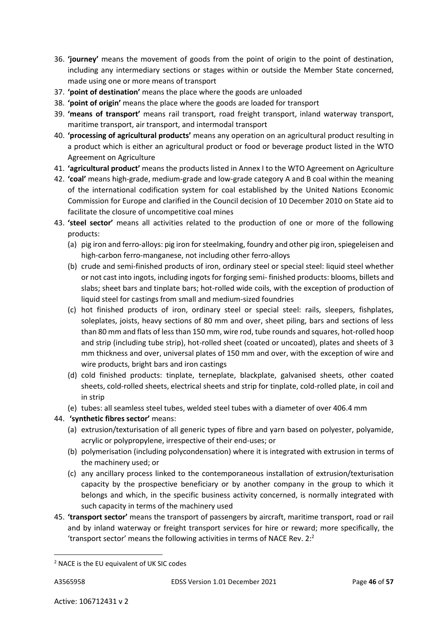- 36. **'journey'** means the movement of goods from the point of origin to the point of destination, including any intermediary sections or stages within or outside the Member State concerned, made using one or more means of transport
- 37. **'point of destination'** means the place where the goods are unloaded
- 38. **'point of origin'** means the place where the goods are loaded for transport
- 39. **'means of transport'** means rail transport, road freight transport, inland waterway transport, maritime transport, air transport, and intermodal transport
- 40. **'processing of agricultural products'** means any operation on an agricultural product resulting in a product which is either an agricultural product or food or beverage product listed in the WTO Agreement on Agriculture
- 41. **'agricultural product'** means the products listed in Annex I to the WTO Agreement on Agriculture
- 42. **'coal'** means high-grade, medium-grade and low-grade category A and B coal within the meaning of the international codification system for coal established by the United Nations Economic Commission for Europe and clarified in the Council decision of 10 December 2010 on State aid to facilitate the closure of uncompetitive coal mines
- 43. **'steel sector'** means all activities related to the production of one or more of the following products:
	- (a) pig iron and ferro-alloys: pig iron for steelmaking, foundry and other pig iron, spiegeleisen and high-carbon ferro-manganese, not including other ferro-alloys
	- (b) crude and semi-finished products of iron, ordinary steel or special steel: liquid steel whether or not cast into ingots, including ingots for forging semi- finished products: blooms, billets and slabs; sheet bars and tinplate bars; hot-rolled wide coils, with the exception of production of liquid steel for castings from small and medium-sized foundries
	- (c) hot finished products of iron, ordinary steel or special steel: rails, sleepers, fishplates, soleplates, joists, heavy sections of 80 mm and over, sheet piling, bars and sections of less than 80 mm and flats of less than 150 mm, wire rod, tube rounds and squares, hot-rolled hoop and strip (including tube strip), hot-rolled sheet (coated or uncoated), plates and sheets of 3 mm thickness and over, universal plates of 150 mm and over, with the exception of wire and wire products, bright bars and iron castings
	- (d) cold finished products: tinplate, terneplate, blackplate, galvanised sheets, other coated sheets, cold-rolled sheets, electrical sheets and strip for tinplate, cold-rolled plate, in coil and in strip
	- (e) tubes: all seamless steel tubes, welded steel tubes with a diameter of over 406.4 mm
- 44. **'synthetic fibres sector'** means:
	- (a) extrusion/texturisation of all generic types of fibre and yarn based on polyester, polyamide, acrylic or polypropylene, irrespective of their end-uses; or
	- (b) polymerisation (including polycondensation) where it is integrated with extrusion in terms of the machinery used; or
	- (c) any ancillary process linked to the contemporaneous installation of extrusion/texturisation capacity by the prospective beneficiary or by another company in the group to which it belongs and which, in the specific business activity concerned, is normally integrated with such capacity in terms of the machinery used
- 45. **'transport sector'** means the transport of passengers by aircraft, maritime transport, road or rail and by inland waterway or freight transport services for hire or reward; more specifically, the 'transport sector' means the following activities in terms of NACE Rev.  $2:^{2}$

<sup>2</sup> NACE is the EU equivalent of UK SIC codes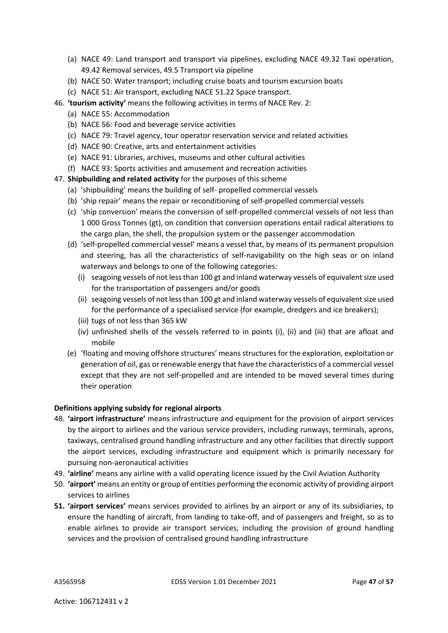- (a) NACE 49: Land transport and transport via pipelines, excluding NACE 49.32 Taxi operation, 49.42 Removal services, 49.5 Transport via pipeline
- (b) NACE 50: Water transport; including cruise boats and tourism excursion boats
- (c) NACE 51: Air transport, excluding NACE 51.22 Space transport.
- 46. **'tourism activity'** means the following activities in terms of NACE Rev. 2:
	- (a) NACE 55: Accommodation
	- (b) NACE 56: Food and beverage service activities
	- (c) NACE 79: Travel agency, tour operator reservation service and related activities
	- (d) NACE 90: Creative, arts and entertainment activities
	- (e) NACE 91: Libraries, archives, museums and other cultural activities
	- (f) NACE 93: Sports activities and amusement and recreation activities
- 47. **Shipbuilding and related activity** for the purposes of this scheme
	- (a) 'shipbuilding' means the building of self- propelled commercial vessels
	- (b) 'ship repair' means the repair or reconditioning of self-propelled commercial vessels
	- (c) 'ship conversion' means the conversion of self-propelled commercial vessels of not less than 1 000 Gross Tonnes (gt), on condition that conversion operations entail radical alterations to the cargo plan, the shell, the propulsion system or the passenger accommodation
	- (d) 'self-propelled commercial vessel' means a vessel that, by means of its permanent propulsion and steering, has all the characteristics of self-navigability on the high seas or on inland waterways and belongs to one of the following categories:
		- (i) seagoing vessels of not less than 100 gt and inland waterway vessels of equivalent size used for the transportation of passengers and/or goods
		- (ii) seagoing vessels of not less than 100 gt and inland waterway vessels of equivalent size used for the performance of a specialised service (for example, dredgers and ice breakers);
		- (iii) tugs of not less than 365 kW
		- (iv) unfinished shells of the vessels referred to in points (i), (ii) and (iii) that are afloat and mobile
	- (e) 'floating and moving offshore structures' means structures for the exploration, exploitation or generation of oil, gas or renewable energy that have the characteristics of a commercial vessel except that they are not self-propelled and are intended to be moved several times during their operation

## **Definitions applying subsidy for regional airports**

- 48. **'airport infrastructure'** means infrastructure and equipment for the provision of airport services by the airport to airlines and the various service providers, including runways, terminals, aprons, taxiways, centralised ground handling infrastructure and any other facilities that directly support the airport services, excluding infrastructure and equipment which is primarily necessary for pursuing non-aeronautical activities
- 49. **'airline'** means any airline with a valid operating licence issued by the Civil Aviation Authority
- 50. **'airport'** means an entity or group of entities performing the economic activity of providing airport services to airlines
- **51. 'airport services'** means services provided to airlines by an airport or any of its subsidiaries, to ensure the handling of aircraft, from landing to take-off, and of passengers and freight, so as to enable airlines to provide air transport services, including the provision of ground handling services and the provision of centralised ground handling infrastructure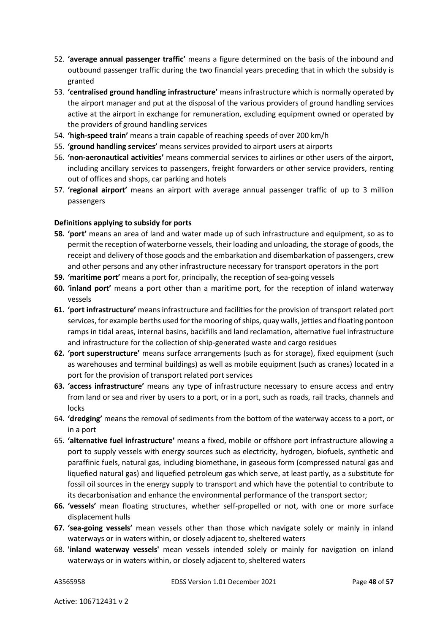- 52. **'average annual passenger traffic'** means a figure determined on the basis of the inbound and outbound passenger traffic during the two financial years preceding that in which the subsidy is granted
- 53. **'centralised ground handling infrastructure'** means infrastructure which is normally operated by the airport manager and put at the disposal of the various providers of ground handling services active at the airport in exchange for remuneration, excluding equipment owned or operated by the providers of ground handling services
- 54. **'high-speed train'** means a train capable of reaching speeds of over 200 km/h
- 55. **'ground handling services'** means services provided to airport users at airports
- 56. **'non-aeronautical activities'** means commercial services to airlines or other users of the airport, including ancillary services to passengers, freight forwarders or other service providers, renting out of offices and shops, car parking and hotels
- 57. **'regional airport'** means an airport with average annual passenger traffic of up to 3 million passengers

## **Definitions applying to subsidy for ports**

- **58. 'port'** means an area of land and water made up of such infrastructure and equipment, so as to permit the reception of waterborne vessels, their loading and unloading, the storage of goods, the receipt and delivery of those goods and the embarkation and disembarkation of passengers, crew and other persons and any other infrastructure necessary for transport operators in the port
- **59. 'maritime port'** means a port for, principally, the reception of sea-going vessels
- **60. 'inland port'** means a port other than a maritime port, for the reception of inland waterway vessels
- **61. 'port infrastructure'** means infrastructure and facilities for the provision of transport related port services, for example berths used for the mooring of ships, quay walls, jetties and floating pontoon ramps in tidal areas, internal basins, backfills and land reclamation, alternative fuel infrastructure and infrastructure for the collection of ship-generated waste and cargo residues
- **62. 'port superstructure'** means surface arrangements (such as for storage), fixed equipment (such as warehouses and terminal buildings) as well as mobile equipment (such as cranes) located in a port for the provision of transport related port services
- **63. 'access infrastructure'** means any type of infrastructure necessary to ensure access and entry from land or sea and river by users to a port, or in a port, such as roads, rail tracks, channels and locks
- 64. **'dredging'** means the removal of sediments from the bottom of the waterway access to a port, or in a port
- 65. **'alternative fuel infrastructure'** means a fixed, mobile or offshore port infrastructure allowing a port to supply vessels with energy sources such as electricity, hydrogen, biofuels, synthetic and paraffinic fuels, natural gas, including biomethane, in gaseous form (compressed natural gas and liquefied natural gas) and liquefied petroleum gas which serve, at least partly, as a substitute for fossil oil sources in the energy supply to transport and which have the potential to contribute to its decarbonisation and enhance the environmental performance of the transport sector;
- **66. 'vessels'** mean floating structures, whether self-propelled or not, with one or more surface displacement hulls
- **67. 'sea-going vessels'** mean vessels other than those which navigate solely or mainly in inland waterways or in waters within, or closely adjacent to, sheltered waters
- 68. **'inland waterway vessels'** mean vessels intended solely or mainly for navigation on inland waterways or in waters within, or closely adjacent to, sheltered waters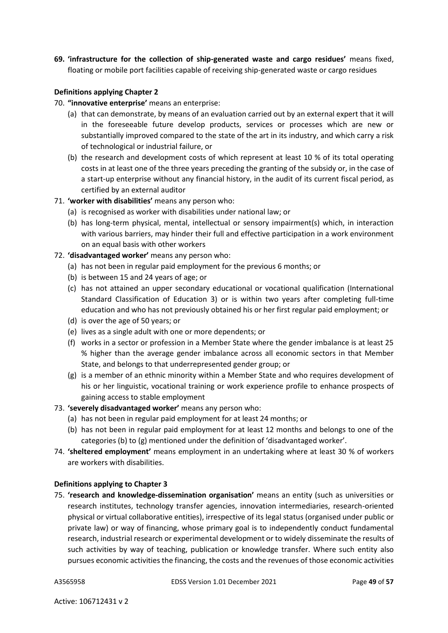**69. 'infrastructure for the collection of ship-generated waste and cargo residues'** means fixed, floating or mobile port facilities capable of receiving ship-generated waste or cargo residues

## **Definitions applying Chapter 2**

- 70. **"innovative enterprise'** means an enterprise:
	- (a) that can demonstrate, by means of an evaluation carried out by an external expert that it will in the foreseeable future develop products, services or processes which are new or substantially improved compared to the state of the art in its industry, and which carry a risk of technological or industrial failure, or
	- (b) the research and development costs of which represent at least 10 % of its total operating costs in at least one of the three years preceding the granting of the subsidy or, in the case of a start-up enterprise without any financial history, in the audit of its current fiscal period, as certified by an external auditor
- 71. **'worker with disabilities'** means any person who:
	- (a) is recognised as worker with disabilities under national law; or
	- (b) has long-term physical, mental, intellectual or sensory impairment(s) which, in interaction with various barriers, may hinder their full and effective participation in a work environment on an equal basis with other workers
- 72. **'disadvantaged worker'** means any person who:
	- (a) has not been in regular paid employment for the previous 6 months; or
	- (b) is between 15 and 24 years of age; or
	- (c) has not attained an upper secondary educational or vocational qualification (International Standard Classification of Education 3) or is within two years after completing full-time education and who has not previously obtained his or her first regular paid employment; or
	- (d) is over the age of 50 years; or
	- (e) lives as a single adult with one or more dependents; or
	- (f) works in a sector or profession in a Member State where the gender imbalance is at least 25 % higher than the average gender imbalance across all economic sectors in that Member State, and belongs to that underrepresented gender group; or
	- (g) is a member of an ethnic minority within a Member State and who requires development of his or her linguistic, vocational training or work experience profile to enhance prospects of gaining access to stable employment

## 73. **'severely disadvantaged worker'** means any person who:

- (a) has not been in regular paid employment for at least 24 months; or
- (b) has not been in regular paid employment for at least 12 months and belongs to one of the categories (b) to (g) mentioned under the definition of 'disadvantaged worker'.
- 74. **'sheltered employment'** means employment in an undertaking where at least 30 % of workers are workers with disabilities.

## **Definitions applying to Chapter 3**

75. **'research and knowledge-dissemination organisation'** means an entity (such as universities or research institutes, technology transfer agencies, innovation intermediaries, research-oriented physical or virtual collaborative entities), irrespective of its legal status (organised under public or private law) or way of financing, whose primary goal is to independently conduct fundamental research, industrial research or experimental development or to widely disseminate the results of such activities by way of teaching, publication or knowledge transfer. Where such entity also pursues economic activities the financing, the costs and the revenues of those economic activities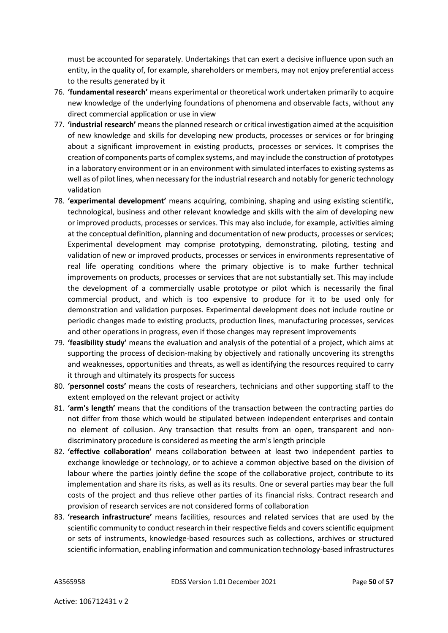must be accounted for separately. Undertakings that can exert a decisive influence upon such an entity, in the quality of, for example, shareholders or members, may not enjoy preferential access to the results generated by it

- 76. **'fundamental research'** means experimental or theoretical work undertaken primarily to acquire new knowledge of the underlying foundations of phenomena and observable facts, without any direct commercial application or use in view
- 77. **'industrial research'** means the planned research or critical investigation aimed at the acquisition of new knowledge and skills for developing new products, processes or services or for bringing about a significant improvement in existing products, processes or services. It comprises the creation of components parts of complex systems, and may include the construction of prototypes in a laboratory environment or in an environment with simulated interfaces to existing systems as well as of pilot lines, when necessary for the industrial research and notably for generic technology validation
- 78. **'experimental development'** means acquiring, combining, shaping and using existing scientific, technological, business and other relevant knowledge and skills with the aim of developing new or improved products, processes or services. This may also include, for example, activities aiming at the conceptual definition, planning and documentation of new products, processes or services; Experimental development may comprise prototyping, demonstrating, piloting, testing and validation of new or improved products, processes or services in environments representative of real life operating conditions where the primary objective is to make further technical improvements on products, processes or services that are not substantially set. This may include the development of a commercially usable prototype or pilot which is necessarily the final commercial product, and which is too expensive to produce for it to be used only for demonstration and validation purposes. Experimental development does not include routine or periodic changes made to existing products, production lines, manufacturing processes, services and other operations in progress, even if those changes may represent improvements
- 79. **'feasibility study'** means the evaluation and analysis of the potential of a project, which aims at supporting the process of decision-making by objectively and rationally uncovering its strengths and weaknesses, opportunities and threats, as well as identifying the resources required to carry it through and ultimately its prospects for success
- 80. **'personnel costs'** means the costs of researchers, technicians and other supporting staff to the extent employed on the relevant project or activity
- 81. **'arm's length'** means that the conditions of the transaction between the contracting parties do not differ from those which would be stipulated between independent enterprises and contain no element of collusion. Any transaction that results from an open, transparent and nondiscriminatory procedure is considered as meeting the arm's length principle
- 82. **'effective collaboration'** means collaboration between at least two independent parties to exchange knowledge or technology, or to achieve a common objective based on the division of labour where the parties jointly define the scope of the collaborative project, contribute to its implementation and share its risks, as well as its results. One or several parties may bear the full costs of the project and thus relieve other parties of its financial risks. Contract research and provision of research services are not considered forms of collaboration
- 83. **'research infrastructure'** means facilities, resources and related services that are used by the scientific community to conduct research in their respective fields and covers scientific equipment or sets of instruments, knowledge-based resources such as collections, archives or structured scientific information, enabling information and communication technology-based infrastructures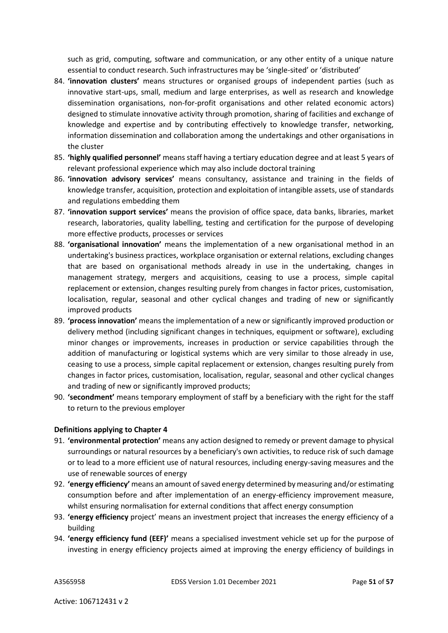such as grid, computing, software and communication, or any other entity of a unique nature essential to conduct research. Such infrastructures may be 'single-sited' or 'distributed'

- 84. **'innovation clusters'** means structures or organised groups of independent parties (such as innovative start-ups, small, medium and large enterprises, as well as research and knowledge dissemination organisations, non-for-profit organisations and other related economic actors) designed to stimulate innovative activity through promotion, sharing of facilities and exchange of knowledge and expertise and by contributing effectively to knowledge transfer, networking, information dissemination and collaboration among the undertakings and other organisations in the cluster
- 85. **'highly qualified personnel'** means staff having a tertiary education degree and at least 5 years of relevant professional experience which may also include doctoral training
- 86. **'innovation advisory services'** means consultancy, assistance and training in the fields of knowledge transfer, acquisition, protection and exploitation of intangible assets, use of standards and regulations embedding them
- 87. **'innovation support services'** means the provision of office space, data banks, libraries, market research, laboratories, quality labelling, testing and certification for the purpose of developing more effective products, processes or services
- 88. **'organisational innovation'** means the implementation of a new organisational method in an undertaking's business practices, workplace organisation or external relations, excluding changes that are based on organisational methods already in use in the undertaking, changes in management strategy, mergers and acquisitions, ceasing to use a process, simple capital replacement or extension, changes resulting purely from changes in factor prices, customisation, localisation, regular, seasonal and other cyclical changes and trading of new or significantly improved products
- 89. **'process innovation'** means the implementation of a new or significantly improved production or delivery method (including significant changes in techniques, equipment or software), excluding minor changes or improvements, increases in production or service capabilities through the addition of manufacturing or logistical systems which are very similar to those already in use, ceasing to use a process, simple capital replacement or extension, changes resulting purely from changes in factor prices, customisation, localisation, regular, seasonal and other cyclical changes and trading of new or significantly improved products;
- 90. **'secondment'** means temporary employment of staff by a beneficiary with the right for the staff to return to the previous employer

## **Definitions applying to Chapter 4**

- 91. **'environmental protection'** means any action designed to remedy or prevent damage to physical surroundings or natural resources by a beneficiary's own activities, to reduce risk of such damage or to lead to a more efficient use of natural resources, including energy-saving measures and the use of renewable sources of energy
- 92. **'energy efficiency'** means an amount of saved energy determined by measuring and/or estimating consumption before and after implementation of an energy-efficiency improvement measure, whilst ensuring normalisation for external conditions that affect energy consumption
- 93. **'energy efficiency** project' means an investment project that increases the energy efficiency of a building
- 94. **'energy efficiency fund (EEF)'** means a specialised investment vehicle set up for the purpose of investing in energy efficiency projects aimed at improving the energy efficiency of buildings in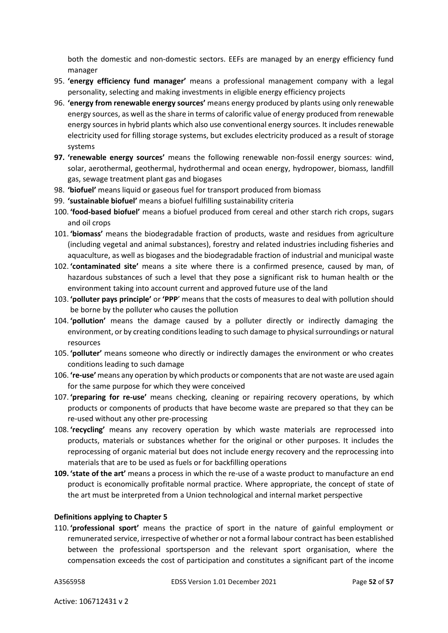both the domestic and non-domestic sectors. EEFs are managed by an energy efficiency fund manager

- 95. **'energy efficiency fund manager'** means a professional management company with a legal personality, selecting and making investments in eligible energy efficiency projects
- 96. **'energy from renewable energy sources'** means energy produced by plants using only renewable energy sources, as well as the share in terms of calorific value of energy produced from renewable energy sources in hybrid plants which also use conventional energy sources. It includes renewable electricity used for filling storage systems, but excludes electricity produced as a result of storage systems
- **97. 'renewable energy sources'** means the following renewable non-fossil energy sources: wind, solar, aerothermal, geothermal, hydrothermal and ocean energy, hydropower, biomass, landfill gas, sewage treatment plant gas and biogases
- 98. **'biofuel'** means liquid or gaseous fuel for transport produced from biomass
- 99. **'sustainable biofuel'** means a biofuel fulfilling sustainability criteria
- 100. **'food-based biofuel'** means a biofuel produced from cereal and other starch rich crops, sugars and oil crops
- 101. **'biomass'** means the biodegradable fraction of products, waste and residues from agriculture (including vegetal and animal substances), forestry and related industries including fisheries and aquaculture, as well as biogases and the biodegradable fraction of industrial and municipal waste
- 102. **'contaminated site'** means a site where there is a confirmed presence, caused by man, of hazardous substances of such a level that they pose a significant risk to human health or the environment taking into account current and approved future use of the land
- 103. **'polluter pays principle'** or **'PPP**' means that the costs of measures to deal with pollution should be borne by the polluter who causes the pollution
- 104. **'pollution'** means the damage caused by a polluter directly or indirectly damaging the environment, or by creating conditions leading to such damage to physical surroundings or natural resources
- 105. **'polluter'** means someone who directly or indirectly damages the environment or who creates conditions leading to such damage
- 106. **'re-use'** means any operation by which products or components that are not waste are used again for the same purpose for which they were conceived
- 107. **'preparing for re-use'** means checking, cleaning or repairing recovery operations, by which products or components of products that have become waste are prepared so that they can be re-used without any other pre-processing
- 108. **'recycling'** means any recovery operation by which waste materials are reprocessed into products, materials or substances whether for the original or other purposes. It includes the reprocessing of organic material but does not include energy recovery and the reprocessing into materials that are to be used as fuels or for backfilling operations
- **109. 'state of the art'** means a process in which the re-use of a waste product to manufacture an end product is economically profitable normal practice. Where appropriate, the concept of state of the art must be interpreted from a Union technological and internal market perspective

#### **Definitions applying to Chapter 5**

110. **'professional sport'** means the practice of sport in the nature of gainful employment or remunerated service, irrespective of whether or not a formal labour contract has been established between the professional sportsperson and the relevant sport organisation, where the compensation exceeds the cost of participation and constitutes a significant part of the income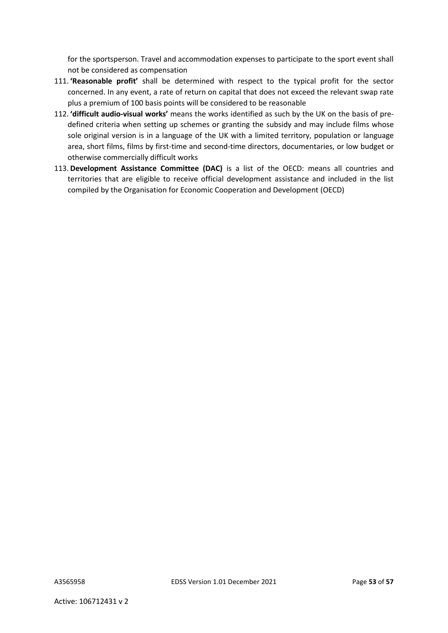for the sportsperson. Travel and accommodation expenses to participate to the sport event shall not be considered as compensation

- 111. **'Reasonable profit'** shall be determined with respect to the typical profit for the sector concerned. In any event, a rate of return on capital that does not exceed the relevant swap rate plus a premium of 100 basis points will be considered to be reasonable
- 112. **'difficult audio-visual works'** means the works identified as such by the UK on the basis of predefined criteria when setting up schemes or granting the subsidy and may include films whose sole original version is in a language of the UK with a limited territory, population or language area, short films, films by first-time and second-time directors, documentaries, or low budget or otherwise commercially difficult works
- 113. **Development Assistance Committee (DAC)** is a list of the OECD: means all countries and territories that are eligible to receive official development assistance and included in the list compiled by the Organisation for Economic Cooperation and Development (OECD)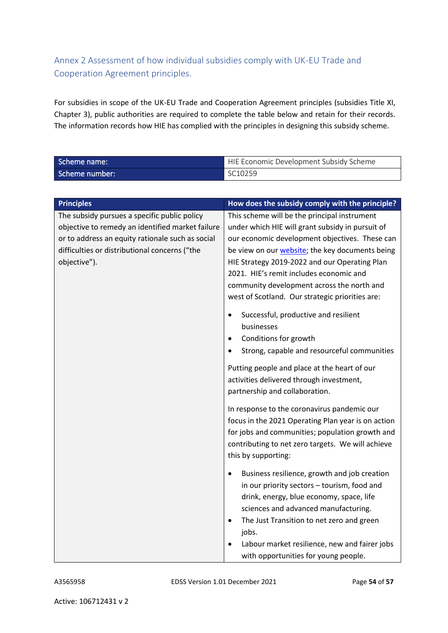<span id="page-53-0"></span>Annex 2 Assessment of how individual subsidies comply with UK-EU Trade and Cooperation Agreement principles.

For subsidies in scope of the UK-EU Trade and Cooperation Agreement principles (subsidies Title XI, Chapter 3), public authorities are required to complete the table below and retain for their records. The information records how HIE has complied with the principles in designing this subsidy scheme.

| Scheme name:   | HIE Economic Development Subsidy Scheme |
|----------------|-----------------------------------------|
| Scheme number: | SC10259                                 |

| <b>Principles</b>                                | How does the subsidy comply with the principle?                          |
|--------------------------------------------------|--------------------------------------------------------------------------|
| The subsidy pursues a specific public policy     | This scheme will be the principal instrument                             |
| objective to remedy an identified market failure | under which HIE will grant subsidy in pursuit of                         |
| or to address an equity rationale such as social | our economic development objectives. These can                           |
| difficulties or distributional concerns ("the    | be view on our website; the key documents being                          |
| objective").                                     | HIE Strategy 2019-2022 and our Operating Plan                            |
|                                                  | 2021. HIE's remit includes economic and                                  |
|                                                  | community development across the north and                               |
|                                                  | west of Scotland. Our strategic priorities are:                          |
|                                                  | Successful, productive and resilient<br>$\bullet$                        |
|                                                  | businesses                                                               |
|                                                  | Conditions for growth<br>$\bullet$                                       |
|                                                  | Strong, capable and resourceful communities<br>٠                         |
|                                                  | Putting people and place at the heart of our                             |
|                                                  | activities delivered through investment,                                 |
|                                                  | partnership and collaboration.                                           |
|                                                  |                                                                          |
|                                                  | In response to the coronavirus pandemic our                              |
|                                                  | focus in the 2021 Operating Plan year is on action                       |
|                                                  | for jobs and communities; population growth and                          |
|                                                  | contributing to net zero targets. We will achieve<br>this by supporting: |
|                                                  |                                                                          |
|                                                  | Business resilience, growth and job creation                             |
|                                                  | in our priority sectors - tourism, food and                              |
|                                                  | drink, energy, blue economy, space, life                                 |
|                                                  | sciences and advanced manufacturing.                                     |
|                                                  | The Just Transition to net zero and green<br>$\bullet$                   |
|                                                  | jobs.                                                                    |
|                                                  | Labour market resilience, new and fairer jobs                            |
|                                                  | with opportunities for young people.                                     |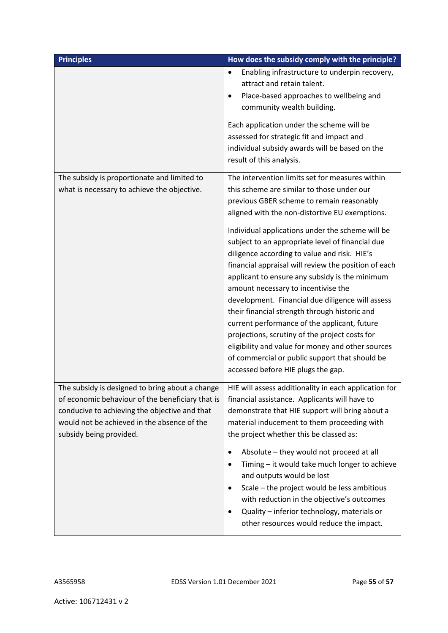| <b>Principles</b>                                                                                                                                                                                                              | How does the subsidy comply with the principle?                                                                                                                                                                                                                                                                                                                                                                                                                                                                                                                                                                                                           |
|--------------------------------------------------------------------------------------------------------------------------------------------------------------------------------------------------------------------------------|-----------------------------------------------------------------------------------------------------------------------------------------------------------------------------------------------------------------------------------------------------------------------------------------------------------------------------------------------------------------------------------------------------------------------------------------------------------------------------------------------------------------------------------------------------------------------------------------------------------------------------------------------------------|
|                                                                                                                                                                                                                                | Enabling infrastructure to underpin recovery,<br>$\bullet$<br>attract and retain talent.<br>Place-based approaches to wellbeing and<br>$\bullet$<br>community wealth building.                                                                                                                                                                                                                                                                                                                                                                                                                                                                            |
|                                                                                                                                                                                                                                | Each application under the scheme will be<br>assessed for strategic fit and impact and<br>individual subsidy awards will be based on the<br>result of this analysis.                                                                                                                                                                                                                                                                                                                                                                                                                                                                                      |
| The subsidy is proportionate and limited to<br>what is necessary to achieve the objective.                                                                                                                                     | The intervention limits set for measures within<br>this scheme are similar to those under our<br>previous GBER scheme to remain reasonably<br>aligned with the non-distortive EU exemptions.                                                                                                                                                                                                                                                                                                                                                                                                                                                              |
|                                                                                                                                                                                                                                | Individual applications under the scheme will be<br>subject to an appropriate level of financial due<br>diligence according to value and risk. HIE's<br>financial appraisal will review the position of each<br>applicant to ensure any subsidy is the minimum<br>amount necessary to incentivise the<br>development. Financial due diligence will assess<br>their financial strength through historic and<br>current performance of the applicant, future<br>projections, scrutiny of the project costs for<br>eligibility and value for money and other sources<br>of commercial or public support that should be<br>accessed before HIE plugs the gap. |
| The subsidy is designed to bring about a change<br>of economic behaviour of the beneficiary that is<br>conducive to achieving the objective and that<br>would not be achieved in the absence of the<br>subsidy being provided. | HIE will assess additionality in each application for<br>financial assistance. Applicants will have to<br>demonstrate that HIE support will bring about a<br>material inducement to them proceeding with<br>the project whether this be classed as:                                                                                                                                                                                                                                                                                                                                                                                                       |
|                                                                                                                                                                                                                                | Absolute - they would not proceed at all<br>Timing - it would take much longer to achieve<br>٠<br>and outputs would be lost<br>Scale - the project would be less ambitious<br>with reduction in the objective's outcomes<br>Quality - inferior technology, materials or<br>٠<br>other resources would reduce the impact.                                                                                                                                                                                                                                                                                                                                  |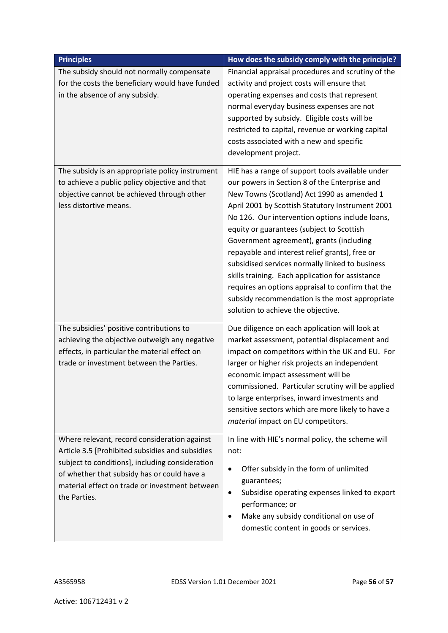| <b>Principles</b>                                                                                                                                                                                                                                                   | How does the subsidy comply with the principle?                                                                                                                                                                                                                                                                                                                                                                                                                                                                                                                                                                                                       |
|---------------------------------------------------------------------------------------------------------------------------------------------------------------------------------------------------------------------------------------------------------------------|-------------------------------------------------------------------------------------------------------------------------------------------------------------------------------------------------------------------------------------------------------------------------------------------------------------------------------------------------------------------------------------------------------------------------------------------------------------------------------------------------------------------------------------------------------------------------------------------------------------------------------------------------------|
| The subsidy should not normally compensate<br>for the costs the beneficiary would have funded<br>in the absence of any subsidy.                                                                                                                                     | Financial appraisal procedures and scrutiny of the<br>activity and project costs will ensure that<br>operating expenses and costs that represent<br>normal everyday business expenses are not<br>supported by subsidy. Eligible costs will be<br>restricted to capital, revenue or working capital<br>costs associated with a new and specific<br>development project.                                                                                                                                                                                                                                                                                |
| The subsidy is an appropriate policy instrument<br>to achieve a public policy objective and that<br>objective cannot be achieved through other<br>less distortive means.                                                                                            | HIE has a range of support tools available under<br>our powers in Section 8 of the Enterprise and<br>New Towns (Scotland) Act 1990 as amended 1<br>April 2001 by Scottish Statutory Instrument 2001<br>No 126. Our intervention options include loans,<br>equity or guarantees (subject to Scottish<br>Government agreement), grants (including<br>repayable and interest relief grants), free or<br>subsidised services normally linked to business<br>skills training. Each application for assistance<br>requires an options appraisal to confirm that the<br>subsidy recommendation is the most appropriate<br>solution to achieve the objective. |
| The subsidies' positive contributions to<br>achieving the objective outweigh any negative<br>effects, in particular the material effect on<br>trade or investment between the Parties.                                                                              | Due diligence on each application will look at<br>market assessment, potential displacement and<br>impact on competitors within the UK and EU. For<br>larger or higher risk projects an independent<br>economic impact assessment will be<br>commissioned. Particular scrutiny will be applied<br>to large enterprises, inward investments and<br>sensitive sectors which are more likely to have a<br>material impact on EU competitors.                                                                                                                                                                                                             |
| Where relevant, record consideration against<br>Article 3.5 [Prohibited subsidies and subsidies<br>subject to conditions], including consideration<br>of whether that subsidy has or could have a<br>material effect on trade or investment between<br>the Parties. | In line with HIE's normal policy, the scheme will<br>not:<br>Offer subsidy in the form of unlimited<br>$\bullet$<br>guarantees;<br>Subsidise operating expenses linked to export<br>٠<br>performance; or<br>Make any subsidy conditional on use of<br>domestic content in goods or services.                                                                                                                                                                                                                                                                                                                                                          |